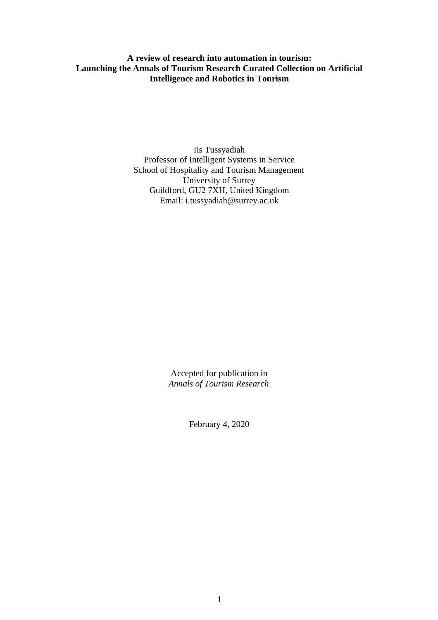# **A review of research into automation in tourism: Launching the Annals of Tourism Research Curated Collection on Artificial Intelligence and Robotics in Tourism**

Iis Tussyadiah Professor of Intelligent Systems in Service School of Hospitality and Tourism Management University of Surrey Guildford, GU2 7XH, United Kingdom Email: i.tussyadiah@surrey.ac.uk

> Accepted for publication in *Annals of Tourism Research*

> > February 4, 2020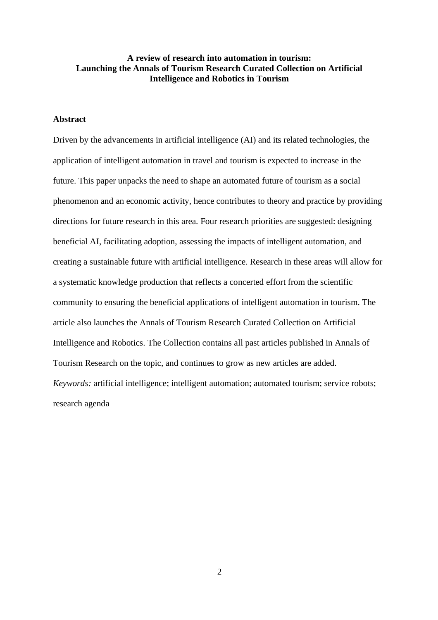# **A review of research into automation in tourism: Launching the Annals of Tourism Research Curated Collection on Artificial Intelligence and Robotics in Tourism**

## **Abstract**

Driven by the advancements in artificial intelligence (AI) and its related technologies, the application of intelligent automation in travel and tourism is expected to increase in the future. This paper unpacks the need to shape an automated future of tourism as a social phenomenon and an economic activity, hence contributes to theory and practice by providing directions for future research in this area. Four research priorities are suggested: designing beneficial AI, facilitating adoption, assessing the impacts of intelligent automation, and creating a sustainable future with artificial intelligence. Research in these areas will allow for a systematic knowledge production that reflects a concerted effort from the scientific community to ensuring the beneficial applications of intelligent automation in tourism. The article also launches the Annals of Tourism Research Curated Collection on Artificial Intelligence and Robotics. The Collection contains all past articles published in Annals of Tourism Research on the topic, and continues to grow as new articles are added. *Keywords:* artificial intelligence; intelligent automation; automated tourism; service robots; research agenda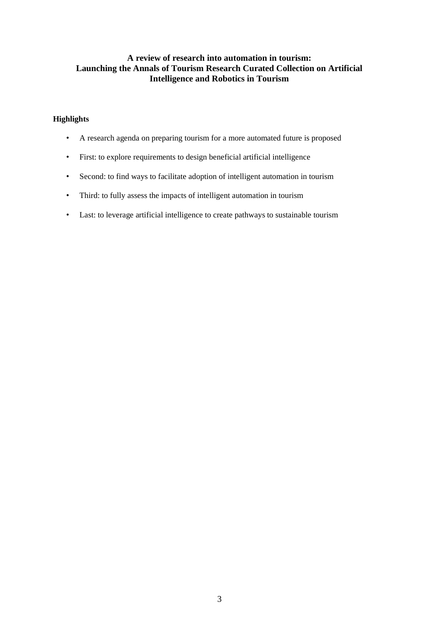# **A review of research into automation in tourism: Launching the Annals of Tourism Research Curated Collection on Artificial Intelligence and Robotics in Tourism**

# **Highlights**

- A research agenda on preparing tourism for a more automated future is proposed
- First: to explore requirements to design beneficial artificial intelligence
- Second: to find ways to facilitate adoption of intelligent automation in tourism
- Third: to fully assess the impacts of intelligent automation in tourism
- Last: to leverage artificial intelligence to create pathways to sustainable tourism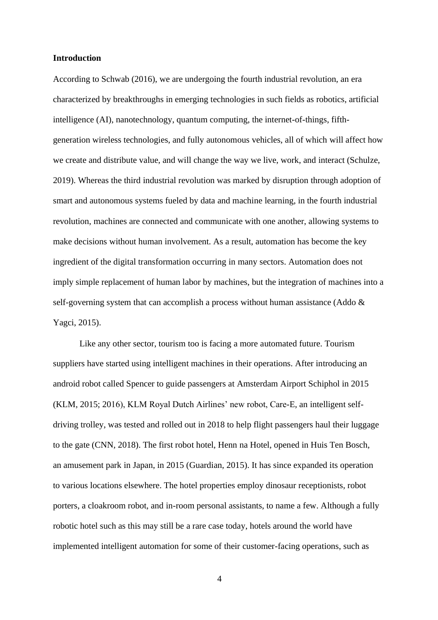### **Introduction**

According to Schwab (2016), we are undergoing the fourth industrial revolution, an era characterized by breakthroughs in emerging technologies in such fields as robotics, artificial intelligence (AI), nanotechnology, quantum computing, the internet-of-things, fifthgeneration wireless technologies, and fully autonomous vehicles, all of which will affect how we create and distribute value, and will change the way we live, work, and interact (Schulze, 2019). Whereas the third industrial revolution was marked by disruption through adoption of smart and autonomous systems fueled by data and machine learning, in the fourth industrial revolution, machines are connected and communicate with one another, allowing systems to make decisions without human involvement. As a result, automation has become the key ingredient of the digital transformation occurring in many sectors. Automation does not imply simple replacement of human labor by machines, but the integration of machines into a self-governing system that can accomplish a process without human assistance (Addo & Yagci, 2015).

Like any other sector, tourism too is facing a more automated future. Tourism suppliers have started using intelligent machines in their operations. After introducing an android robot called Spencer to guide passengers at Amsterdam Airport Schiphol in 2015 (KLM, 2015; 2016), KLM Royal Dutch Airlines' new robot, Care-E, an intelligent selfdriving trolley, was tested and rolled out in 2018 to help flight passengers haul their luggage to the gate (CNN, 2018). The first robot hotel, Henn na Hotel, opened in Huis Ten Bosch, an amusement park in Japan, in 2015 (Guardian, 2015). It has since expanded its operation to various locations elsewhere. The hotel properties employ dinosaur receptionists, robot porters, a cloakroom robot, and in-room personal assistants, to name a few. Although a fully robotic hotel such as this may still be a rare case today, hotels around the world have implemented intelligent automation for some of their customer-facing operations, such as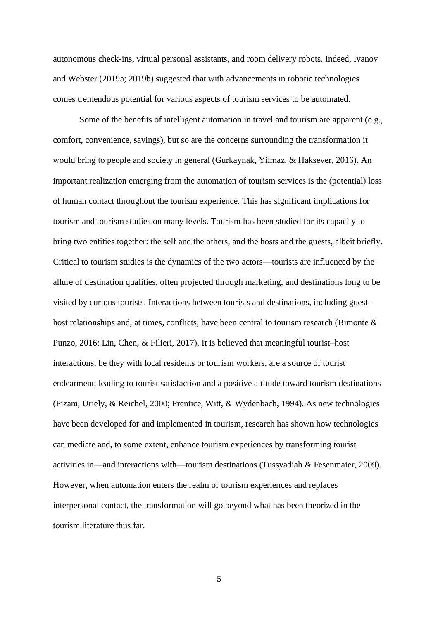autonomous check-ins, virtual personal assistants, and room delivery robots. Indeed, Ivanov and Webster (2019a; 2019b) suggested that with advancements in robotic technologies comes tremendous potential for various aspects of tourism services to be automated.

Some of the benefits of intelligent automation in travel and tourism are apparent (e.g., comfort, convenience, savings), but so are the concerns surrounding the transformation it would bring to people and society in general (Gurkaynak, Yilmaz, & Haksever, 2016). An important realization emerging from the automation of tourism services is the (potential) loss of human contact throughout the tourism experience. This has significant implications for tourism and tourism studies on many levels. Tourism has been studied for its capacity to bring two entities together: the self and the others, and the hosts and the guests, albeit briefly. Critical to tourism studies is the dynamics of the two actors—tourists are influenced by the allure of destination qualities, often projected through marketing, and destinations long to be visited by curious tourists. Interactions between tourists and destinations, including guesthost relationships and, at times, conflicts, have been central to tourism research (Bimonte & Punzo, 2016; Lin, Chen, & Filieri, 2017). It is believed that meaningful tourist–host interactions, be they with local residents or tourism workers, are a source of tourist endearment, leading to tourist satisfaction and a positive attitude toward tourism destinations (Pizam, Uriely, & Reichel, 2000; Prentice, Witt, & Wydenbach, 1994). As new technologies have been developed for and implemented in tourism, research has shown how technologies can mediate and, to some extent, enhance tourism experiences by transforming tourist activities in—and interactions with—tourism destinations (Tussyadiah & Fesenmaier, 2009). However, when automation enters the realm of tourism experiences and replaces interpersonal contact, the transformation will go beyond what has been theorized in the tourism literature thus far.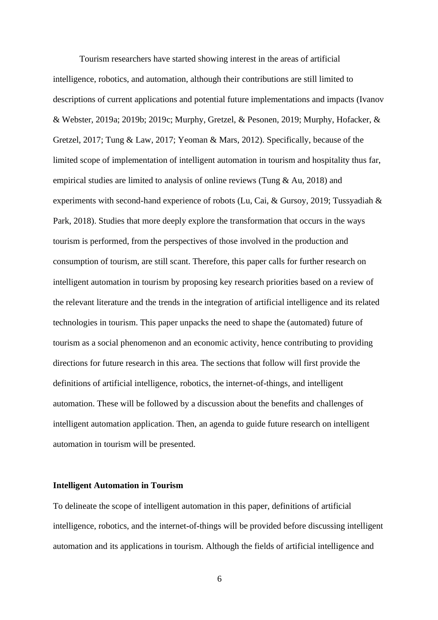Tourism researchers have started showing interest in the areas of artificial intelligence, robotics, and automation, although their contributions are still limited to descriptions of current applications and potential future implementations and impacts (Ivanov & Webster, 2019a; 2019b; 2019c; Murphy, Gretzel, & Pesonen, 2019; Murphy, Hofacker, & Gretzel, 2017; Tung & Law, 2017; Yeoman & Mars, 2012). Specifically, because of the limited scope of implementation of intelligent automation in tourism and hospitality thus far, empirical studies are limited to analysis of online reviews (Tung & Au, 2018) and experiments with second-hand experience of robots (Lu, Cai, & Gursoy, 2019; Tussyadiah & Park, 2018). Studies that more deeply explore the transformation that occurs in the ways tourism is performed, from the perspectives of those involved in the production and consumption of tourism, are still scant. Therefore, this paper calls for further research on intelligent automation in tourism by proposing key research priorities based on a review of the relevant literature and the trends in the integration of artificial intelligence and its related technologies in tourism. This paper unpacks the need to shape the (automated) future of tourism as a social phenomenon and an economic activity, hence contributing to providing directions for future research in this area. The sections that follow will first provide the definitions of artificial intelligence, robotics, the internet-of-things, and intelligent automation. These will be followed by a discussion about the benefits and challenges of intelligent automation application. Then, an agenda to guide future research on intelligent automation in tourism will be presented.

### **Intelligent Automation in Tourism**

To delineate the scope of intelligent automation in this paper, definitions of artificial intelligence, robotics, and the internet-of-things will be provided before discussing intelligent automation and its applications in tourism. Although the fields of artificial intelligence and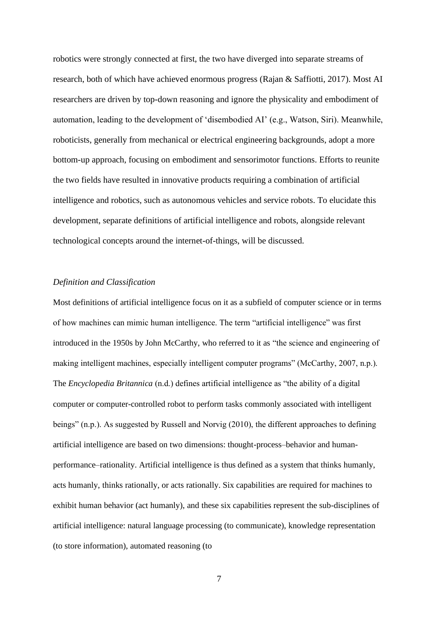robotics were strongly connected at first, the two have diverged into separate streams of research, both of which have achieved enormous progress (Rajan & Saffiotti, 2017). Most AI researchers are driven by top-down reasoning and ignore the physicality and embodiment of automation, leading to the development of 'disembodied AI' (e.g., Watson, Siri). Meanwhile, roboticists, generally from mechanical or electrical engineering backgrounds, adopt a more bottom-up approach, focusing on embodiment and sensorimotor functions. Efforts to reunite the two fields have resulted in innovative products requiring a combination of artificial intelligence and robotics, such as autonomous vehicles and service robots. To elucidate this development, separate definitions of artificial intelligence and robots, alongside relevant technological concepts around the internet-of-things, will be discussed.

## *Definition and Classification*

Most definitions of artificial intelligence focus on it as a subfield of computer science or in terms of how machines can mimic human intelligence. The term "artificial intelligence" was first introduced in the 1950s by John McCarthy, who referred to it as "the science and engineering of making intelligent machines, especially intelligent computer programs" (McCarthy, 2007, n.p.). The *Encyclopedia Britannica* (n.d.) defines artificial intelligence as "the ability of a digital computer or computer-controlled robot to perform tasks commonly associated with intelligent beings" (n.p.). As suggested by Russell and Norvig (2010), the different approaches to defining artificial intelligence are based on two dimensions: thought-process–behavior and humanperformance–rationality. Artificial intelligence is thus defined as a system that thinks humanly, acts humanly, thinks rationally, or acts rationally. Six capabilities are required for machines to exhibit human behavior (act humanly), and these six capabilities represent the sub-disciplines of artificial intelligence: natural language processing (to communicate), knowledge representation (to store information), automated reasoning (to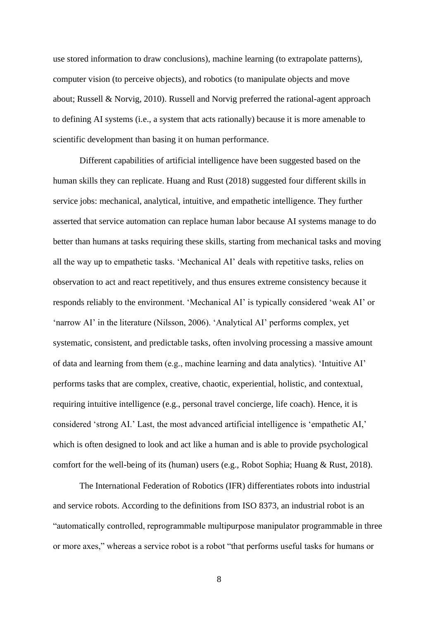use stored information to draw conclusions), machine learning (to extrapolate patterns), computer vision (to perceive objects), and robotics (to manipulate objects and move about; Russell & Norvig, 2010). Russell and Norvig preferred the rational-agent approach to defining AI systems (i.e., a system that acts rationally) because it is more amenable to scientific development than basing it on human performance.

Different capabilities of artificial intelligence have been suggested based on the human skills they can replicate. Huang and Rust (2018) suggested four different skills in service jobs: mechanical, analytical, intuitive, and empathetic intelligence. They further asserted that service automation can replace human labor because AI systems manage to do better than humans at tasks requiring these skills, starting from mechanical tasks and moving all the way up to empathetic tasks. 'Mechanical AI' deals with repetitive tasks, relies on observation to act and react repetitively, and thus ensures extreme consistency because it responds reliably to the environment. 'Mechanical AI' is typically considered 'weak AI' or 'narrow AI' in the literature (Nilsson, 2006). 'Analytical AI' performs complex, yet systematic, consistent, and predictable tasks, often involving processing a massive amount of data and learning from them (e.g., machine learning and data analytics). 'Intuitive AI' performs tasks that are complex, creative, chaotic, experiential, holistic, and contextual, requiring intuitive intelligence (e.g., personal travel concierge, life coach). Hence, it is considered 'strong AI.' Last, the most advanced artificial intelligence is 'empathetic AI,' which is often designed to look and act like a human and is able to provide psychological comfort for the well-being of its (human) users (e.g., Robot Sophia; Huang & Rust, 2018).

The International Federation of Robotics (IFR) differentiates robots into industrial and service robots. According to the definitions from ISO 8373, an industrial robot is an "automatically controlled, reprogrammable multipurpose manipulator programmable in three or more axes," whereas a service robot is a robot "that performs useful tasks for humans or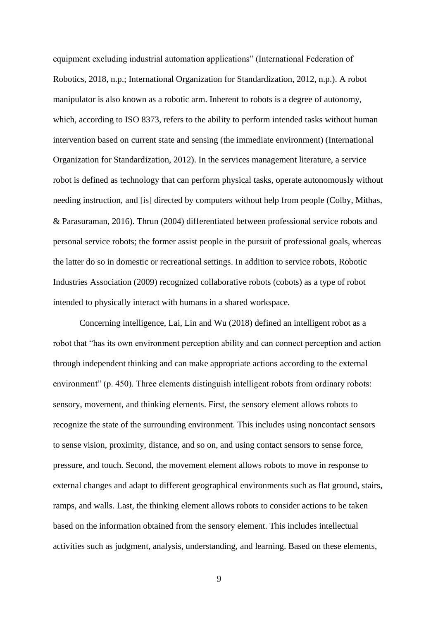equipment excluding industrial automation applications" (International Federation of Robotics, 2018, n.p.; International Organization for Standardization, 2012, n.p.). A robot manipulator is also known as a robotic arm. Inherent to robots is a degree of autonomy, which, according to ISO 8373, refers to the ability to perform intended tasks without human intervention based on current state and sensing (the immediate environment) (International Organization for Standardization, 2012). In the services management literature, a service robot is defined as technology that can perform physical tasks, operate autonomously without needing instruction, and [is] directed by computers without help from people (Colby, Mithas, & Parasuraman, 2016). Thrun (2004) differentiated between professional service robots and personal service robots; the former assist people in the pursuit of professional goals, whereas the latter do so in domestic or recreational settings. In addition to service robots, Robotic Industries Association (2009) recognized collaborative robots (cobots) as a type of robot intended to physically interact with humans in a shared workspace.

Concerning intelligence, Lai, Lin and Wu (2018) defined an intelligent robot as a robot that "has its own environment perception ability and can connect perception and action through independent thinking and can make appropriate actions according to the external environment" (p. 450). Three elements distinguish intelligent robots from ordinary robots: sensory, movement, and thinking elements. First, the sensory element allows robots to recognize the state of the surrounding environment. This includes using noncontact sensors to sense vision, proximity, distance, and so on, and using contact sensors to sense force, pressure, and touch. Second, the movement element allows robots to move in response to external changes and adapt to different geographical environments such as flat ground, stairs, ramps, and walls. Last, the thinking element allows robots to consider actions to be taken based on the information obtained from the sensory element. This includes intellectual activities such as judgment, analysis, understanding, and learning. Based on these elements,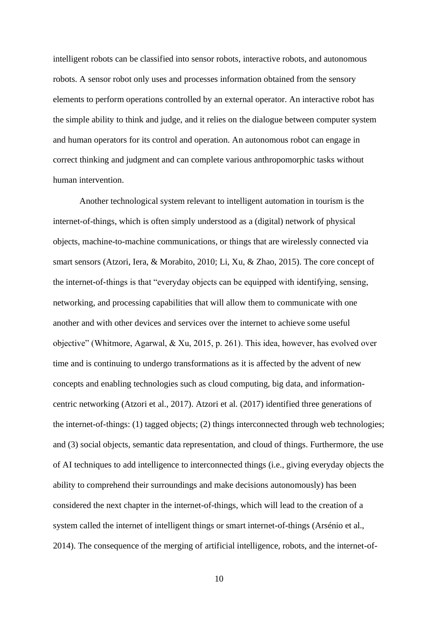intelligent robots can be classified into sensor robots, interactive robots, and autonomous robots. A sensor robot only uses and processes information obtained from the sensory elements to perform operations controlled by an external operator. An interactive robot has the simple ability to think and judge, and it relies on the dialogue between computer system and human operators for its control and operation. An autonomous robot can engage in correct thinking and judgment and can complete various anthropomorphic tasks without human intervention.

Another technological system relevant to intelligent automation in tourism is the internet-of-things, which is often simply understood as a (digital) network of physical objects, machine-to-machine communications, or things that are wirelessly connected via smart sensors (Atzori, Iera, & Morabito, 2010; Li, Xu, & Zhao, 2015). The core concept of the internet-of-things is that "everyday objects can be equipped with identifying, sensing, networking, and processing capabilities that will allow them to communicate with one another and with other devices and services over the internet to achieve some useful objective" (Whitmore, Agarwal, & Xu, 2015, p. 261). This idea, however, has evolved over time and is continuing to undergo transformations as it is affected by the advent of new concepts and enabling technologies such as cloud computing, big data, and informationcentric networking (Atzori et al., 2017). Atzori et al. (2017) identified three generations of the internet-of-things: (1) tagged objects; (2) things interconnected through web technologies; and (3) social objects, semantic data representation, and cloud of things. Furthermore, the use of AI techniques to add intelligence to interconnected things (i.e., giving everyday objects the ability to comprehend their surroundings and make decisions autonomously) has been considered the next chapter in the internet-of-things, which will lead to the creation of a system called the internet of intelligent things or smart internet-of-things (Arsénio et al., 2014). The consequence of the merging of artificial intelligence, robots, and the internet-of-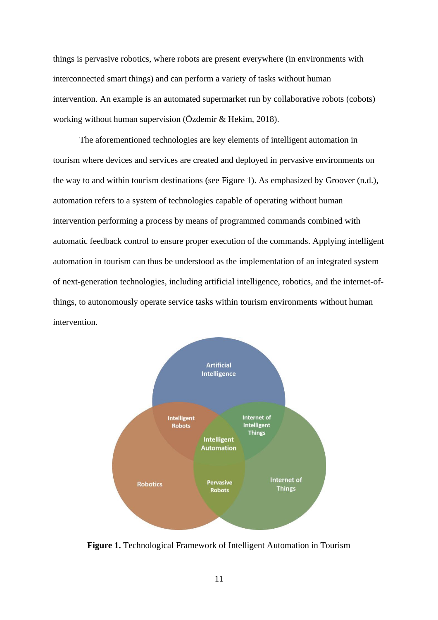things is pervasive robotics, where robots are present everywhere (in environments with interconnected smart things) and can perform a variety of tasks without human intervention. An example is an automated supermarket run by collaborative robots (cobots) working without human supervision (Özdemir & Hekim, 2018).

The aforementioned technologies are key elements of intelligent automation in tourism where devices and services are created and deployed in pervasive environments on the way to and within tourism destinations (see Figure 1). As emphasized by Groover (n.d.), automation refers to a system of technologies capable of operating without human intervention performing a process by means of programmed commands combined with automatic feedback control to ensure proper execution of the commands. Applying intelligent automation in tourism can thus be understood as the implementation of an integrated system of next-generation technologies, including artificial intelligence, robotics, and the internet-ofthings, to autonomously operate service tasks within tourism environments without human intervention.



**Figure 1.** Technological Framework of Intelligent Automation in Tourism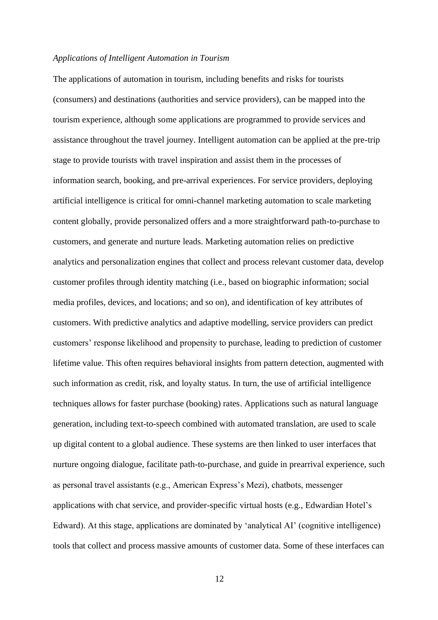## *Applications of Intelligent Automation in Tourism*

The applications of automation in tourism, including benefits and risks for tourists (consumers) and destinations (authorities and service providers), can be mapped into the tourism experience, although some applications are programmed to provide services and assistance throughout the travel journey. Intelligent automation can be applied at the pre-trip stage to provide tourists with travel inspiration and assist them in the processes of information search, booking, and pre-arrival experiences. For service providers, deploying artificial intelligence is critical for omni-channel marketing automation to scale marketing content globally, provide personalized offers and a more straightforward path-to-purchase to customers, and generate and nurture leads. Marketing automation relies on predictive analytics and personalization engines that collect and process relevant customer data, develop customer profiles through identity matching (i.e., based on biographic information; social media profiles, devices, and locations; and so on), and identification of key attributes of customers. With predictive analytics and adaptive modelling, service providers can predict customers' response likelihood and propensity to purchase, leading to prediction of customer lifetime value. This often requires behavioral insights from pattern detection, augmented with such information as credit, risk, and loyalty status. In turn, the use of artificial intelligence techniques allows for faster purchase (booking) rates. Applications such as natural language generation, including text-to-speech combined with automated translation, are used to scale up digital content to a global audience. These systems are then linked to user interfaces that nurture ongoing dialogue, facilitate path-to-purchase, and guide in prearrival experience, such as personal travel assistants (e.g., American Express's Mezi), chatbots, messenger applications with chat service, and provider-specific virtual hosts (e.g., Edwardian Hotel's Edward). At this stage, applications are dominated by 'analytical AI' (cognitive intelligence) tools that collect and process massive amounts of customer data. Some of these interfaces can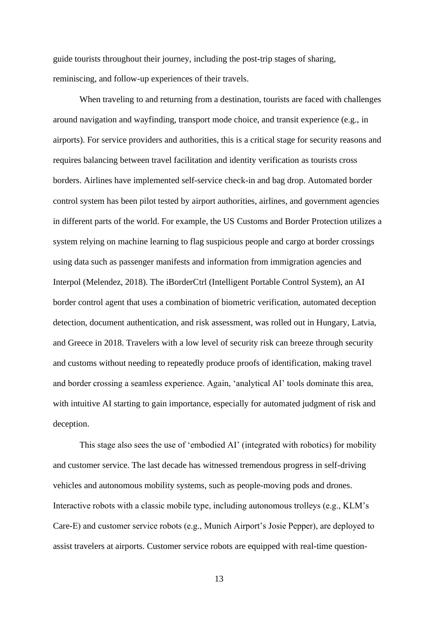guide tourists throughout their journey, including the post-trip stages of sharing, reminiscing, and follow-up experiences of their travels.

When traveling to and returning from a destination, tourists are faced with challenges around navigation and wayfinding, transport mode choice, and transit experience (e.g., in airports). For service providers and authorities, this is a critical stage for security reasons and requires balancing between travel facilitation and identity verification as tourists cross borders. Airlines have implemented self-service check-in and bag drop. Automated border control system has been pilot tested by airport authorities, airlines, and government agencies in different parts of the world. For example, the US Customs and Border Protection utilizes a system relying on machine learning to flag suspicious people and cargo at border crossings using data such as passenger manifests and information from immigration agencies and Interpol (Melendez, 2018). The iBorderCtrl (Intelligent Portable Control System), an AI border control agent that uses a combination of biometric verification, automated deception detection, document authentication, and risk assessment, was rolled out in Hungary, Latvia, and Greece in 2018. Travelers with a low level of security risk can breeze through security and customs without needing to repeatedly produce proofs of identification, making travel and border crossing a seamless experience. Again, 'analytical AI' tools dominate this area, with intuitive AI starting to gain importance, especially for automated judgment of risk and deception.

This stage also sees the use of 'embodied AI' (integrated with robotics) for mobility and customer service. The last decade has witnessed tremendous progress in self-driving vehicles and autonomous mobility systems, such as people-moving pods and drones. Interactive robots with a classic mobile type, including autonomous trolleys (e.g., KLM's Care-E) and customer service robots (e.g., Munich Airport's Josie Pepper), are deployed to assist travelers at airports. Customer service robots are equipped with real-time question-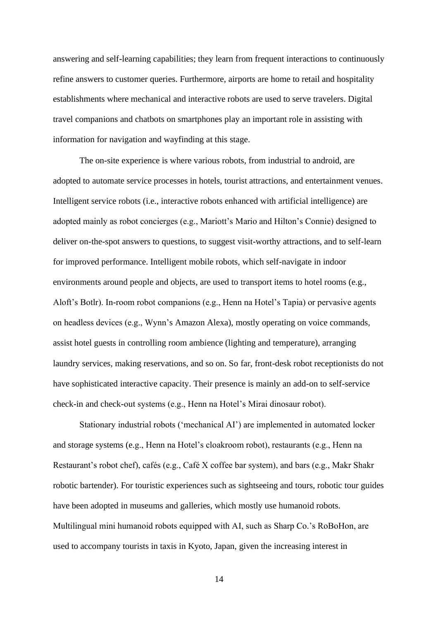answering and self-learning capabilities; they learn from frequent interactions to continuously refine answers to customer queries. Furthermore, airports are home to retail and hospitality establishments where mechanical and interactive robots are used to serve travelers. Digital travel companions and chatbots on smartphones play an important role in assisting with information for navigation and wayfinding at this stage.

The on-site experience is where various robots, from industrial to android, are adopted to automate service processes in hotels, tourist attractions, and entertainment venues. Intelligent service robots (i.e., interactive robots enhanced with artificial intelligence) are adopted mainly as robot concierges (e.g., Mariott's Mario and Hilton's Connie) designed to deliver on-the-spot answers to questions, to suggest visit-worthy attractions, and to self-learn for improved performance. Intelligent mobile robots, which self-navigate in indoor environments around people and objects, are used to transport items to hotel rooms (e.g., Aloft's Botlr). In-room robot companions (e.g., Henn na Hotel's Tapia) or pervasive agents on headless devices (e.g., Wynn's Amazon Alexa), mostly operating on voice commands, assist hotel guests in controlling room ambience (lighting and temperature), arranging laundry services, making reservations, and so on. So far, front-desk robot receptionists do not have sophisticated interactive capacity. Their presence is mainly an add-on to self-service check-in and check-out systems (e.g., Henn na Hotel's Mirai dinosaur robot).

Stationary industrial robots ('mechanical AI') are implemented in automated locker and storage systems (e.g., Henn na Hotel's cloakroom robot), restaurants (e.g., Henn na Restaurant's robot chef), cafés (e.g., Café X coffee bar system), and bars (e.g., Makr Shakr robotic bartender). For touristic experiences such as sightseeing and tours, robotic tour guides have been adopted in museums and galleries, which mostly use humanoid robots. Multilingual mini humanoid robots equipped with AI, such as Sharp Co.'s RoBoHon, are used to accompany tourists in taxis in Kyoto, Japan, given the increasing interest in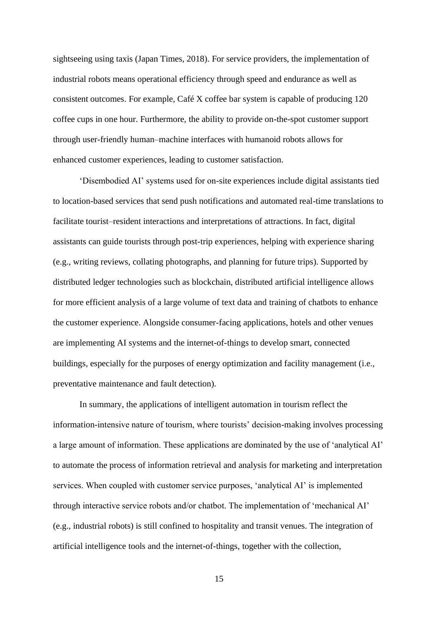sightseeing using taxis (Japan Times, 2018). For service providers, the implementation of industrial robots means operational efficiency through speed and endurance as well as consistent outcomes. For example, Café X coffee bar system is capable of producing 120 coffee cups in one hour. Furthermore, the ability to provide on-the-spot customer support through user-friendly human–machine interfaces with humanoid robots allows for enhanced customer experiences, leading to customer satisfaction.

'Disembodied AI' systems used for on-site experiences include digital assistants tied to location-based services that send push notifications and automated real-time translations to facilitate tourist–resident interactions and interpretations of attractions. In fact, digital assistants can guide tourists through post-trip experiences, helping with experience sharing (e.g., writing reviews, collating photographs, and planning for future trips). Supported by distributed ledger technologies such as blockchain, distributed artificial intelligence allows for more efficient analysis of a large volume of text data and training of chatbots to enhance the customer experience. Alongside consumer-facing applications, hotels and other venues are implementing AI systems and the internet-of-things to develop smart, connected buildings, especially for the purposes of energy optimization and facility management (i.e., preventative maintenance and fault detection).

In summary, the applications of intelligent automation in tourism reflect the information-intensive nature of tourism, where tourists' decision-making involves processing a large amount of information. These applications are dominated by the use of 'analytical AI' to automate the process of information retrieval and analysis for marketing and interpretation services. When coupled with customer service purposes, 'analytical AI' is implemented through interactive service robots and/or chatbot. The implementation of 'mechanical AI' (e.g., industrial robots) is still confined to hospitality and transit venues. The integration of artificial intelligence tools and the internet-of-things, together with the collection,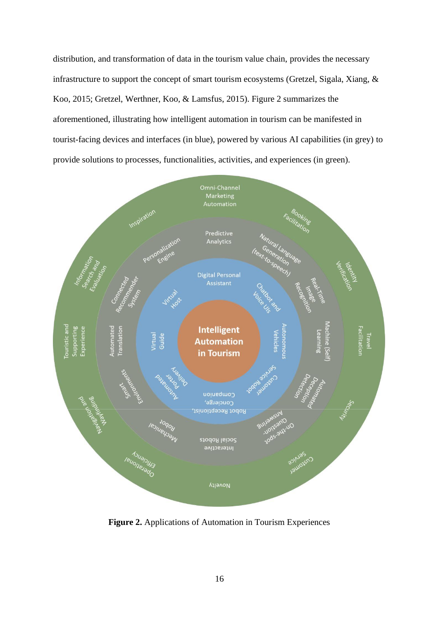distribution, and transformation of data in the tourism value chain, provides the necessary infrastructure to support the concept of smart tourism ecosystems (Gretzel, Sigala, Xiang, & Koo, 2015; Gretzel, Werthner, Koo, & Lamsfus, 2015). Figure 2 summarizes the aforementioned, illustrating how intelligent automation in tourism can be manifested in tourist-facing devices and interfaces (in blue), powered by various AI capabilities (in grey) to provide solutions to processes, functionalities, activities, and experiences (in green).



**Figure 2.** Applications of Automation in Tourism Experiences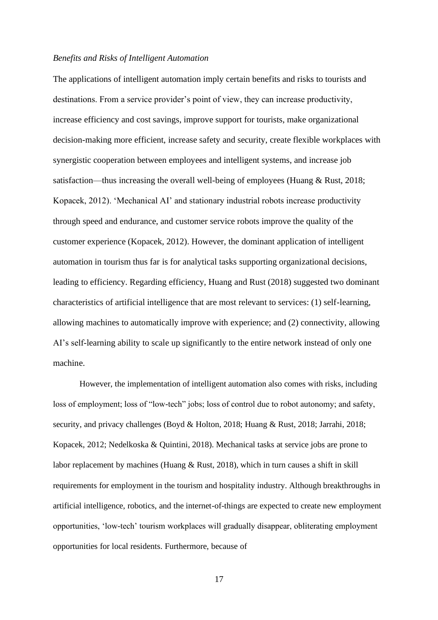### *Benefits and Risks of Intelligent Automation*

The applications of intelligent automation imply certain benefits and risks to tourists and destinations. From a service provider's point of view, they can increase productivity, increase efficiency and cost savings, improve support for tourists, make organizational decision-making more efficient, increase safety and security, create flexible workplaces with synergistic cooperation between employees and intelligent systems, and increase job satisfaction—thus increasing the overall well-being of employees (Huang & Rust, 2018; Kopacek, 2012). 'Mechanical AI' and stationary industrial robots increase productivity through speed and endurance, and customer service robots improve the quality of the customer experience (Kopacek, 2012). However, the dominant application of intelligent automation in tourism thus far is for analytical tasks supporting organizational decisions, leading to efficiency. Regarding efficiency, Huang and Rust (2018) suggested two dominant characteristics of artificial intelligence that are most relevant to services: (1) self-learning, allowing machines to automatically improve with experience; and (2) connectivity, allowing AI's self-learning ability to scale up significantly to the entire network instead of only one machine.

However, the implementation of intelligent automation also comes with risks, including loss of employment; loss of "low-tech" jobs; loss of control due to robot autonomy; and safety, security, and privacy challenges (Boyd & Holton, 2018; Huang & Rust, 2018; Jarrahi, 2018; Kopacek, 2012; Nedelkoska & Quintini, 2018). Mechanical tasks at service jobs are prone to labor replacement by machines (Huang & Rust, 2018), which in turn causes a shift in skill requirements for employment in the tourism and hospitality industry. Although breakthroughs in artificial intelligence, robotics, and the internet-of-things are expected to create new employment opportunities, 'low-tech' tourism workplaces will gradually disappear, obliterating employment opportunities for local residents. Furthermore, because of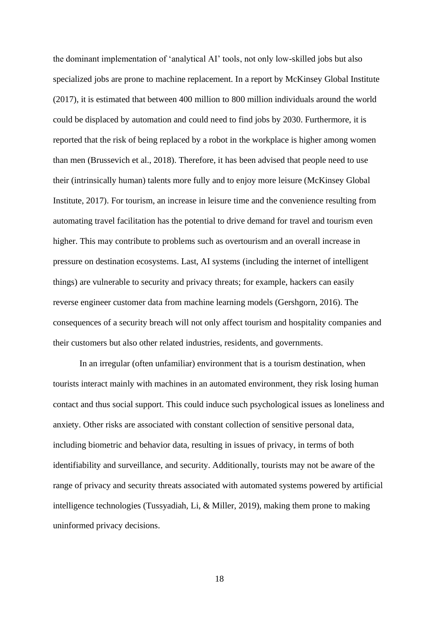the dominant implementation of 'analytical AI' tools, not only low-skilled jobs but also specialized jobs are prone to machine replacement. In a report by McKinsey Global Institute (2017), it is estimated that between 400 million to 800 million individuals around the world could be displaced by automation and could need to find jobs by 2030. Furthermore, it is reported that the risk of being replaced by a robot in the workplace is higher among women than men (Brussevich et al., 2018). Therefore, it has been advised that people need to use their (intrinsically human) talents more fully and to enjoy more leisure (McKinsey Global Institute, 2017). For tourism, an increase in leisure time and the convenience resulting from automating travel facilitation has the potential to drive demand for travel and tourism even higher. This may contribute to problems such as overtourism and an overall increase in pressure on destination ecosystems. Last, AI systems (including the internet of intelligent things) are vulnerable to security and privacy threats; for example, hackers can easily reverse engineer customer data from machine learning models (Gershgorn, 2016). The consequences of a security breach will not only affect tourism and hospitality companies and their customers but also other related industries, residents, and governments.

In an irregular (often unfamiliar) environment that is a tourism destination, when tourists interact mainly with machines in an automated environment, they risk losing human contact and thus social support. This could induce such psychological issues as loneliness and anxiety. Other risks are associated with constant collection of sensitive personal data, including biometric and behavior data, resulting in issues of privacy, in terms of both identifiability and surveillance, and security. Additionally, tourists may not be aware of the range of privacy and security threats associated with automated systems powered by artificial intelligence technologies (Tussyadiah, Li, & Miller, 2019), making them prone to making uninformed privacy decisions.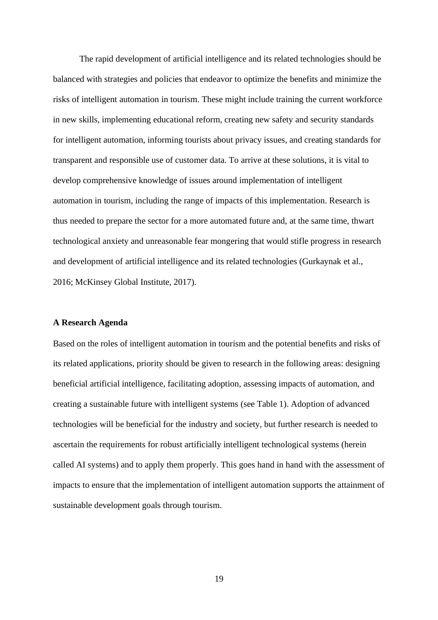The rapid development of artificial intelligence and its related technologies should be balanced with strategies and policies that endeavor to optimize the benefits and minimize the risks of intelligent automation in tourism. These might include training the current workforce in new skills, implementing educational reform, creating new safety and security standards for intelligent automation, informing tourists about privacy issues, and creating standards for transparent and responsible use of customer data. To arrive at these solutions, it is vital to develop comprehensive knowledge of issues around implementation of intelligent automation in tourism, including the range of impacts of this implementation. Research is thus needed to prepare the sector for a more automated future and, at the same time, thwart technological anxiety and unreasonable fear mongering that would stifle progress in research and development of artificial intelligence and its related technologies (Gurkaynak et al., 2016; McKinsey Global Institute, 2017).

## **A Research Agenda**

Based on the roles of intelligent automation in tourism and the potential benefits and risks of its related applications, priority should be given to research in the following areas: designing beneficial artificial intelligence, facilitating adoption, assessing impacts of automation, and creating a sustainable future with intelligent systems (see Table 1). Adoption of advanced technologies will be beneficial for the industry and society, but further research is needed to ascertain the requirements for robust artificially intelligent technological systems (herein called AI systems) and to apply them properly. This goes hand in hand with the assessment of impacts to ensure that the implementation of intelligent automation supports the attainment of sustainable development goals through tourism.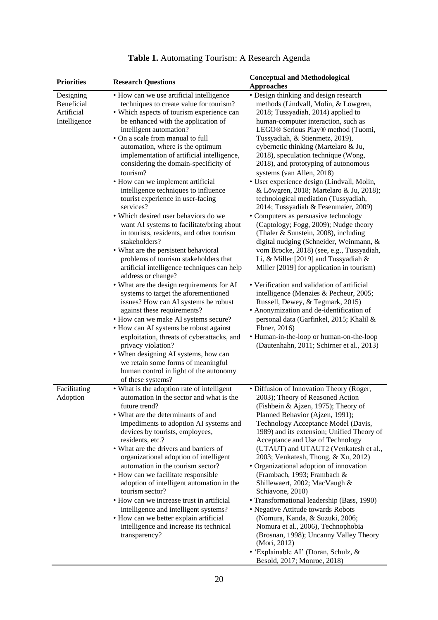| <b>Priorities</b>                                     | <b>Research Questions</b>                                                                                                                                                                                                                                                                                                                                                                                                                                                                                                                                                                                                                                                                                                                                    | <b>Conceptual and Methodological</b>                                                                                                                                                                                                                                                                                                                                                                                                                                                                                                                                                                                                                                                                                                                                                         |
|-------------------------------------------------------|--------------------------------------------------------------------------------------------------------------------------------------------------------------------------------------------------------------------------------------------------------------------------------------------------------------------------------------------------------------------------------------------------------------------------------------------------------------------------------------------------------------------------------------------------------------------------------------------------------------------------------------------------------------------------------------------------------------------------------------------------------------|----------------------------------------------------------------------------------------------------------------------------------------------------------------------------------------------------------------------------------------------------------------------------------------------------------------------------------------------------------------------------------------------------------------------------------------------------------------------------------------------------------------------------------------------------------------------------------------------------------------------------------------------------------------------------------------------------------------------------------------------------------------------------------------------|
|                                                       |                                                                                                                                                                                                                                                                                                                                                                                                                                                                                                                                                                                                                                                                                                                                                              | <b>Approaches</b>                                                                                                                                                                                                                                                                                                                                                                                                                                                                                                                                                                                                                                                                                                                                                                            |
| Designing<br>Beneficial<br>Artificial<br>Intelligence | • How can we use artificial intelligence<br>techniques to create value for tourism?<br>• Which aspects of tourism experience can<br>be enhanced with the application of<br>intelligent automation?<br>• On a scale from manual to full<br>automation, where is the optimum<br>implementation of artificial intelligence,<br>considering the domain-specificity of<br>tourism?<br>• How can we implement artificial<br>intelligence techniques to influence<br>tourist experience in user-facing                                                                                                                                                                                                                                                              | • Design thinking and design research<br>methods (Lindvall, Molin, & Löwgren,<br>2018; Tussyadiah, 2014) applied to<br>human-computer interaction, such as<br>LEGO® Serious Play® method (Tuomi,<br>Tussyadiah, & Stienmetz, 2019),<br>cybernetic thinking (Martelaro & Ju,<br>2018), speculation technique (Wong,<br>2018), and prototyping of autonomous<br>systems (van Allen, 2018)<br>· User experience design (Lindvall, Molin,<br>& Löwgren, 2018; Martelaro & Ju, 2018);<br>technological mediation (Tussyadiah,                                                                                                                                                                                                                                                                     |
|                                                       | services?<br>• Which desired user behaviors do we<br>want AI systems to facilitate/bring about<br>in tourists, residents, and other tourism<br>stakeholders?<br>• What are the persistent behavioral<br>problems of tourism stakeholders that<br>artificial intelligence techniques can help<br>address or change?<br>• What are the design requirements for AI<br>systems to target the aforementioned<br>issues? How can AI systems be robust<br>against these requirements?<br>• How can we make AI systems secure?<br>• How can AI systems be robust against<br>exploitation, threats of cyberattacks, and<br>privacy violation?<br>• When designing AI systems, how can<br>we retain some forms of meaningful<br>human control in light of the autonomy | 2014; Tussyadiah & Fesenmaier, 2009)<br>• Computers as persuasive technology<br>(Captology; Fogg, 2009); Nudge theory<br>(Thaler & Sunstein, 2008), including<br>digital nudging (Schneider, Weinmann, &<br>vom Brocke, 2018) (see, e.g., Tussyadiah,<br>Li, & Miller [2019] and Tussyadiah $\&$<br>Miller [2019] for application in tourism)<br>• Verification and validation of artificial<br>intelligence (Menzies & Pecheur, 2005;<br>Russell, Dewey, & Tegmark, 2015)<br>• Anonymization and de-identification of<br>personal data (Garfinkel, 2015; Khalil &<br>Ebner, 2016)<br>• Human-in-the-loop or human-on-the-loop<br>(Dautenhahn, 2011; Schirner et al., 2013)                                                                                                                  |
| Facilitating<br>Adoption                              | of these systems?<br>• What is the adoption rate of intelligent<br>automation in the sector and what is the<br>future trend?<br>• What are the determinants of and<br>impediments to adoption AI systems and<br>devices by tourists, employees,<br>residents, etc.?<br>• What are the drivers and barriers of<br>organizational adoption of intelligent<br>automation in the tourism sector?<br>• How can we facilitate responsible<br>adoption of intelligent automation in the<br>tourism sector?<br>• How can we increase trust in artificial<br>intelligence and intelligent systems?<br>• How can we better explain artificial<br>intelligence and increase its technical<br>transparency?                                                              | • Diffusion of Innovation Theory (Roger,<br>2003); Theory of Reasoned Action<br>(Fishbein & Ajzen, 1975); Theory of<br>Planned Behavior (Ajzen, 1991);<br>Technology Acceptance Model (Davis,<br>1989) and its extension; Unified Theory of<br>Acceptance and Use of Technology<br>(UTAUT) and UTAUT2 (Venkatesh et al.,<br>2003; Venkatesh, Thong, & Xu, 2012)<br>• Organizational adoption of innovation<br>(Frambach, 1993; Frambach &<br>Shillewaert, 2002; MacVaugh &<br>Schiavone, 2010)<br>• Transformational leadership (Bass, 1990)<br>• Negative Attitude towards Robots<br>(Nomura, Kanda, & Suzuki, 2006;<br>Nomura et al., 2006), Technophobia<br>(Brosnan, 1998); Uncanny Valley Theory<br>(Mori, 2012)<br>· 'Explainable AI' (Doran, Schulz, &<br>Besold, 2017; Monroe, 2018) |

# **Table 1.** Automating Tourism: A Research Agenda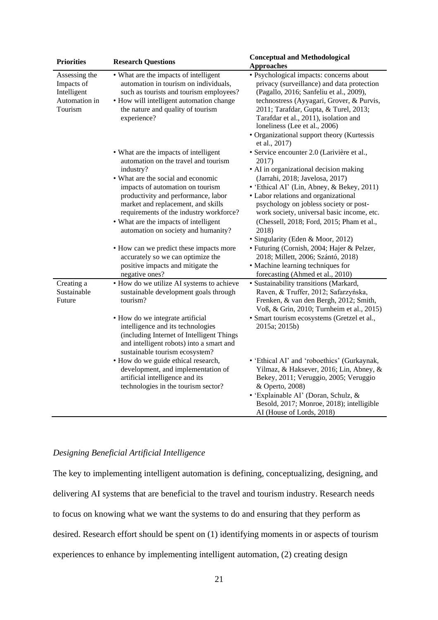| <b>Priorities</b>                                                      | <b>Research Questions</b>                                                                                                                                                                                                                                                                                                                                                    | <b>Conceptual and Methodological</b><br><b>Approaches</b>                                                                                                                                                                                                                                                                                                                                                 |
|------------------------------------------------------------------------|------------------------------------------------------------------------------------------------------------------------------------------------------------------------------------------------------------------------------------------------------------------------------------------------------------------------------------------------------------------------------|-----------------------------------------------------------------------------------------------------------------------------------------------------------------------------------------------------------------------------------------------------------------------------------------------------------------------------------------------------------------------------------------------------------|
| Assessing the<br>Impacts of<br>Intelligent<br>Automation in<br>Tourism | • What are the impacts of intelligent<br>automation in tourism on individuals,<br>such as tourists and tourism employees?<br>• How will intelligent automation change<br>the nature and quality of tourism<br>experience?                                                                                                                                                    | · Psychological impacts: concerns about<br>privacy (surveillance) and data protection<br>(Pagallo, 2016; Sanfeliu et al., 2009),<br>technostress (Ayyagari, Grover, & Purvis,<br>2011; Tarafdar, Gupta, & Turel, 2013;<br>Tarafdar et al., 2011), isolation and<br>loneliness (Lee et al., 2006)<br>• Organizational support theory (Kurtessis<br>et al., 2017)                                           |
|                                                                        | • What are the impacts of intelligent<br>automation on the travel and tourism<br>industry?<br>• What are the social and economic<br>impacts of automation on tourism<br>productivity and performance, labor<br>market and replacement, and skills<br>requirements of the industry workforce?<br>• What are the impacts of intelligent<br>automation on society and humanity? | · Service encounter 2.0 (Larivière et al.,<br>2017)<br>• AI in organizational decision making<br>(Jarrahi, 2018; Javelosa, 2017)<br>• 'Ethical AI' (Lin, Abney, & Bekey, 2011)<br>• Labor relations and organizational<br>psychology on jobless society or post-<br>work society, universal basic income, etc.<br>(Chessell, 2018; Ford, 2015; Pham et al.,<br>2018)<br>· Singularity (Eden & Moor, 2012) |
|                                                                        | • How can we predict these impacts more<br>accurately so we can optimize the<br>positive impacts and mitigate the<br>negative ones?                                                                                                                                                                                                                                          | · Futuring (Cornish, 2004; Hajer & Pelzer,<br>2018; Millett, 2006; Szántó, 2018)<br>• Machine learning techniques for<br>forecasting (Ahmed et al., 2010)                                                                                                                                                                                                                                                 |
| Creating a<br>Sustainable<br>Future                                    | • How do we utilize AI systems to achieve<br>sustainable development goals through<br>tourism?<br>• How do we integrate artificial<br>intelligence and its technologies<br>(including Internet of Intelligent Things                                                                                                                                                         | · Sustainability transitions (Markard,<br>Raven, & Truffer, 2012; Safarzyńska,<br>Frenken, & van den Bergh, 2012; Smith,<br>Voß, & Grin, 2010; Turnheim et al., 2015)<br>· Smart tourism ecosystems (Gretzel et al.,<br>2015a; 2015b)                                                                                                                                                                     |
|                                                                        | and intelligent robots) into a smart and<br>sustainable tourism ecosystem?<br>• How do we guide ethical research,<br>development, and implementation of<br>artificial intelligence and its<br>technologies in the tourism sector?                                                                                                                                            | • 'Ethical AI' and 'roboethics' (Gurkaynak,<br>Yilmaz, & Haksever, 2016; Lin, Abney, &<br>Bekey, 2011; Veruggio, 2005; Veruggio<br>& Operto, 2008)<br>· 'Explainable AI' (Doran, Schulz, &<br>Besold, 2017; Monroe, 2018); intelligible<br>AI (House of Lords, 2018)                                                                                                                                      |

# *Designing Beneficial Artificial Intelligence*

The key to implementing intelligent automation is defining, conceptualizing, designing, and delivering AI systems that are beneficial to the travel and tourism industry. Research needs to focus on knowing what we want the systems to do and ensuring that they perform as desired. Research effort should be spent on (1) identifying moments in or aspects of tourism experiences to enhance by implementing intelligent automation, (2) creating design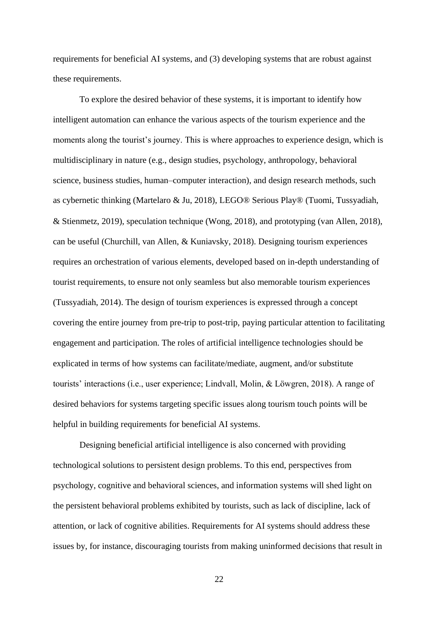requirements for beneficial AI systems, and (3) developing systems that are robust against these requirements.

To explore the desired behavior of these systems, it is important to identify how intelligent automation can enhance the various aspects of the tourism experience and the moments along the tourist's journey. This is where approaches to experience design, which is multidisciplinary in nature (e.g., design studies, psychology, anthropology, behavioral science, business studies, human–computer interaction), and design research methods, such as cybernetic thinking (Martelaro & Ju, 2018), LEGO® Serious Play® (Tuomi, Tussyadiah, & Stienmetz, 2019), speculation technique (Wong, 2018), and prototyping (van Allen, 2018), can be useful (Churchill, van Allen, & Kuniavsky, 2018). Designing tourism experiences requires an orchestration of various elements, developed based on in-depth understanding of tourist requirements, to ensure not only seamless but also memorable tourism experiences (Tussyadiah, 2014). The design of tourism experiences is expressed through a concept covering the entire journey from pre-trip to post-trip, paying particular attention to facilitating engagement and participation. The roles of artificial intelligence technologies should be explicated in terms of how systems can facilitate/mediate, augment, and/or substitute tourists' interactions (i.e., user experience; Lindvall, Molin, & Löwgren, 2018). A range of desired behaviors for systems targeting specific issues along tourism touch points will be helpful in building requirements for beneficial AI systems.

Designing beneficial artificial intelligence is also concerned with providing technological solutions to persistent design problems. To this end, perspectives from psychology, cognitive and behavioral sciences, and information systems will shed light on the persistent behavioral problems exhibited by tourists, such as lack of discipline, lack of attention, or lack of cognitive abilities. Requirements for AI systems should address these issues by, for instance, discouraging tourists from making uninformed decisions that result in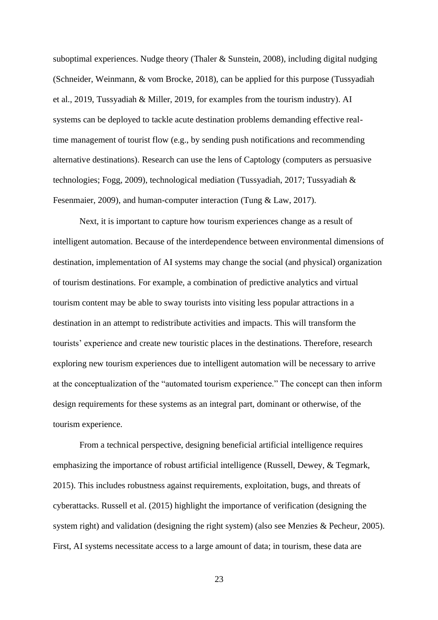suboptimal experiences. Nudge theory (Thaler & Sunstein, 2008), including digital nudging (Schneider, Weinmann, & vom Brocke, 2018), can be applied for this purpose (Tussyadiah et al., 2019, Tussyadiah & Miller, 2019, for examples from the tourism industry). AI systems can be deployed to tackle acute destination problems demanding effective realtime management of tourist flow (e.g., by sending push notifications and recommending alternative destinations). Research can use the lens of Captology (computers as persuasive technologies; Fogg, 2009), technological mediation (Tussyadiah, 2017; Tussyadiah & Fesenmaier, 2009), and human-computer interaction (Tung & Law, 2017).

Next, it is important to capture how tourism experiences change as a result of intelligent automation. Because of the interdependence between environmental dimensions of destination, implementation of AI systems may change the social (and physical) organization of tourism destinations. For example, a combination of predictive analytics and virtual tourism content may be able to sway tourists into visiting less popular attractions in a destination in an attempt to redistribute activities and impacts. This will transform the tourists' experience and create new touristic places in the destinations. Therefore, research exploring new tourism experiences due to intelligent automation will be necessary to arrive at the conceptualization of the "automated tourism experience." The concept can then inform design requirements for these systems as an integral part, dominant or otherwise, of the tourism experience.

From a technical perspective, designing beneficial artificial intelligence requires emphasizing the importance of robust artificial intelligence (Russell, Dewey, & Tegmark, 2015). This includes robustness against requirements, exploitation, bugs, and threats of cyberattacks. Russell et al. (2015) highlight the importance of verification (designing the system right) and validation (designing the right system) (also see Menzies & Pecheur, 2005). First, AI systems necessitate access to a large amount of data; in tourism, these data are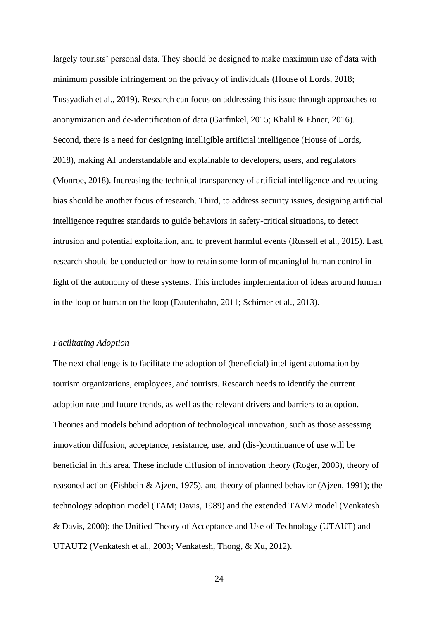largely tourists' personal data. They should be designed to make maximum use of data with minimum possible infringement on the privacy of individuals (House of Lords, 2018; Tussyadiah et al., 2019). Research can focus on addressing this issue through approaches to anonymization and de-identification of data (Garfinkel, 2015; Khalil & Ebner, 2016). Second, there is a need for designing intelligible artificial intelligence (House of Lords, 2018), making AI understandable and explainable to developers, users, and regulators (Monroe, 2018). Increasing the technical transparency of artificial intelligence and reducing bias should be another focus of research. Third, to address security issues, designing artificial intelligence requires standards to guide behaviors in safety-critical situations, to detect intrusion and potential exploitation, and to prevent harmful events (Russell et al., 2015). Last, research should be conducted on how to retain some form of meaningful human control in light of the autonomy of these systems. This includes implementation of ideas around human in the loop or human on the loop (Dautenhahn, 2011; Schirner et al., 2013).

### *Facilitating Adoption*

The next challenge is to facilitate the adoption of (beneficial) intelligent automation by tourism organizations, employees, and tourists. Research needs to identify the current adoption rate and future trends, as well as the relevant drivers and barriers to adoption. Theories and models behind adoption of technological innovation, such as those assessing innovation diffusion, acceptance, resistance, use, and (dis-)continuance of use will be beneficial in this area. These include diffusion of innovation theory (Roger, 2003), theory of reasoned action (Fishbein & Ajzen, 1975), and theory of planned behavior (Ajzen, 1991); the technology adoption model (TAM; Davis, 1989) and the extended TAM2 model (Venkatesh & Davis, 2000); the Unified Theory of Acceptance and Use of Technology (UTAUT) and UTAUT2 (Venkatesh et al., 2003; Venkatesh, Thong, & Xu, 2012).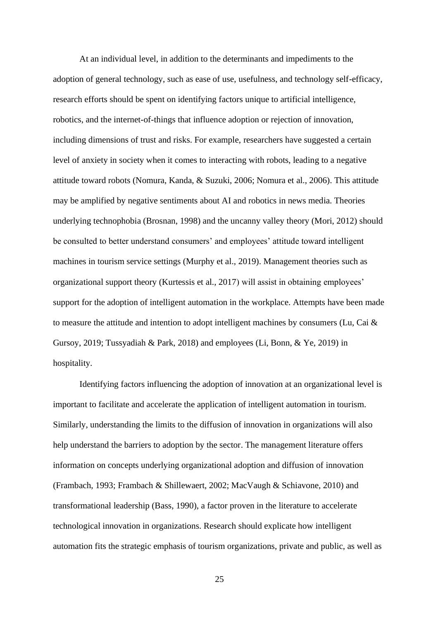At an individual level, in addition to the determinants and impediments to the adoption of general technology, such as ease of use, usefulness, and technology self-efficacy, research efforts should be spent on identifying factors unique to artificial intelligence, robotics, and the internet-of-things that influence adoption or rejection of innovation, including dimensions of trust and risks. For example, researchers have suggested a certain level of anxiety in society when it comes to interacting with robots, leading to a negative attitude toward robots (Nomura, Kanda, & Suzuki, 2006; Nomura et al., 2006). This attitude may be amplified by negative sentiments about AI and robotics in news media. Theories underlying technophobia (Brosnan, 1998) and the uncanny valley theory (Mori, 2012) should be consulted to better understand consumers' and employees' attitude toward intelligent machines in tourism service settings (Murphy et al., 2019). Management theories such as organizational support theory (Kurtessis et al., 2017) will assist in obtaining employees' support for the adoption of intelligent automation in the workplace. Attempts have been made to measure the attitude and intention to adopt intelligent machines by consumers (Lu, Cai & Gursoy, 2019; Tussyadiah & Park, 2018) and employees (Li, Bonn, & Ye, 2019) in hospitality.

Identifying factors influencing the adoption of innovation at an organizational level is important to facilitate and accelerate the application of intelligent automation in tourism. Similarly, understanding the limits to the diffusion of innovation in organizations will also help understand the barriers to adoption by the sector. The management literature offers information on concepts underlying organizational adoption and diffusion of innovation (Frambach, 1993; Frambach & Shillewaert, 2002; MacVaugh & Schiavone, 2010) and transformational leadership (Bass, 1990), a factor proven in the literature to accelerate technological innovation in organizations. Research should explicate how intelligent automation fits the strategic emphasis of tourism organizations, private and public, as well as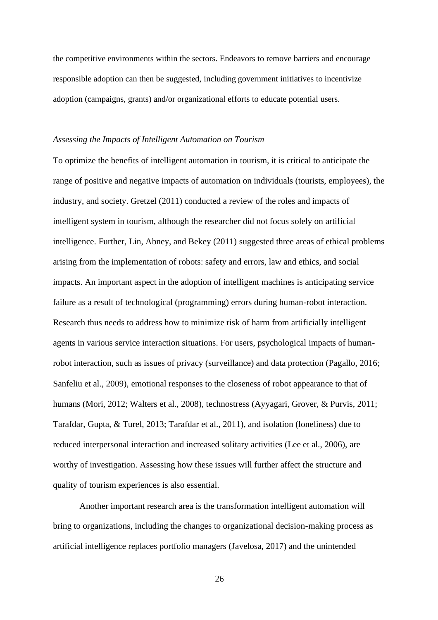the competitive environments within the sectors. Endeavors to remove barriers and encourage responsible adoption can then be suggested, including government initiatives to incentivize adoption (campaigns, grants) and/or organizational efforts to educate potential users.

#### *Assessing the Impacts of Intelligent Automation on Tourism*

To optimize the benefits of intelligent automation in tourism, it is critical to anticipate the range of positive and negative impacts of automation on individuals (tourists, employees), the industry, and society. Gretzel (2011) conducted a review of the roles and impacts of intelligent system in tourism, although the researcher did not focus solely on artificial intelligence. Further, Lin, Abney, and Bekey (2011) suggested three areas of ethical problems arising from the implementation of robots: safety and errors, law and ethics, and social impacts. An important aspect in the adoption of intelligent machines is anticipating service failure as a result of technological (programming) errors during human-robot interaction. Research thus needs to address how to minimize risk of harm from artificially intelligent agents in various service interaction situations. For users, psychological impacts of humanrobot interaction, such as issues of privacy (surveillance) and data protection (Pagallo, 2016; Sanfeliu et al., 2009), emotional responses to the closeness of robot appearance to that of humans (Mori, 2012; Walters et al., 2008), technostress (Ayyagari, Grover, & Purvis, 2011; Tarafdar, Gupta, & Turel, 2013; Tarafdar et al., 2011), and isolation (loneliness) due to reduced interpersonal interaction and increased solitary activities (Lee et al., 2006), are worthy of investigation. Assessing how these issues will further affect the structure and quality of tourism experiences is also essential.

Another important research area is the transformation intelligent automation will bring to organizations, including the changes to organizational decision-making process as artificial intelligence replaces portfolio managers (Javelosa, 2017) and the unintended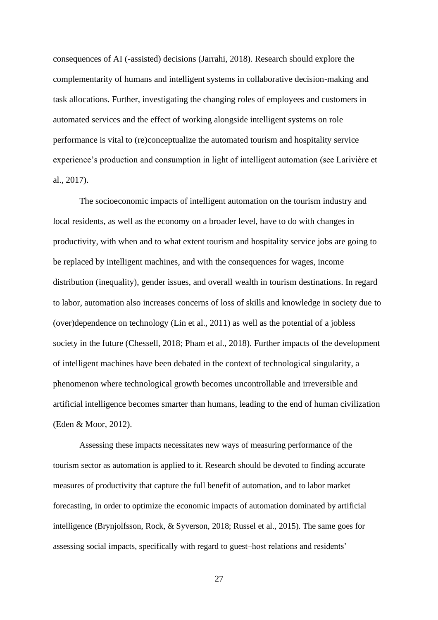consequences of AI (-assisted) decisions (Jarrahi, 2018). Research should explore the complementarity of humans and intelligent systems in collaborative decision-making and task allocations. Further, investigating the changing roles of employees and customers in automated services and the effect of working alongside intelligent systems on role performance is vital to (re)conceptualize the automated tourism and hospitality service experience's production and consumption in light of intelligent automation (see Larivière et al., 2017).

The socioeconomic impacts of intelligent automation on the tourism industry and local residents, as well as the economy on a broader level, have to do with changes in productivity, with when and to what extent tourism and hospitality service jobs are going to be replaced by intelligent machines, and with the consequences for wages, income distribution (inequality), gender issues, and overall wealth in tourism destinations. In regard to labor, automation also increases concerns of loss of skills and knowledge in society due to (over)dependence on technology (Lin et al., 2011) as well as the potential of a jobless society in the future (Chessell, 2018; Pham et al., 2018). Further impacts of the development of intelligent machines have been debated in the context of technological singularity, a phenomenon where technological growth becomes uncontrollable and irreversible and artificial intelligence becomes smarter than humans, leading to the end of human civilization (Eden & Moor, 2012).

Assessing these impacts necessitates new ways of measuring performance of the tourism sector as automation is applied to it. Research should be devoted to finding accurate measures of productivity that capture the full benefit of automation, and to labor market forecasting, in order to optimize the economic impacts of automation dominated by artificial intelligence (Brynjolfsson, Rock, & Syverson, 2018; Russel et al., 2015). The same goes for assessing social impacts, specifically with regard to guest–host relations and residents'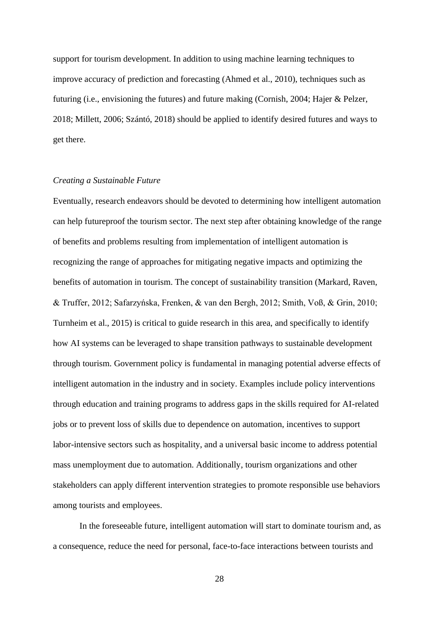support for tourism development. In addition to using machine learning techniques to improve accuracy of prediction and forecasting (Ahmed et al., 2010), techniques such as futuring (i.e., envisioning the futures) and future making (Cornish, 2004; Hajer & Pelzer, 2018; Millett, 2006; Szántó, 2018) should be applied to identify desired futures and ways to get there.

## *Creating a Sustainable Future*

Eventually, research endeavors should be devoted to determining how intelligent automation can help futureproof the tourism sector. The next step after obtaining knowledge of the range of benefits and problems resulting from implementation of intelligent automation is recognizing the range of approaches for mitigating negative impacts and optimizing the benefits of automation in tourism. The concept of sustainability transition (Markard, Raven, & Truffer, 2012; Safarzyńska, Frenken, & van den Bergh, 2012; Smith, Voß, & Grin, 2010; Turnheim et al., 2015) is critical to guide research in this area, and specifically to identify how AI systems can be leveraged to shape transition pathways to sustainable development through tourism. Government policy is fundamental in managing potential adverse effects of intelligent automation in the industry and in society. Examples include policy interventions through education and training programs to address gaps in the skills required for AI-related jobs or to prevent loss of skills due to dependence on automation, incentives to support labor-intensive sectors such as hospitality, and a universal basic income to address potential mass unemployment due to automation. Additionally, tourism organizations and other stakeholders can apply different intervention strategies to promote responsible use behaviors among tourists and employees.

In the foreseeable future, intelligent automation will start to dominate tourism and, as a consequence, reduce the need for personal, face-to-face interactions between tourists and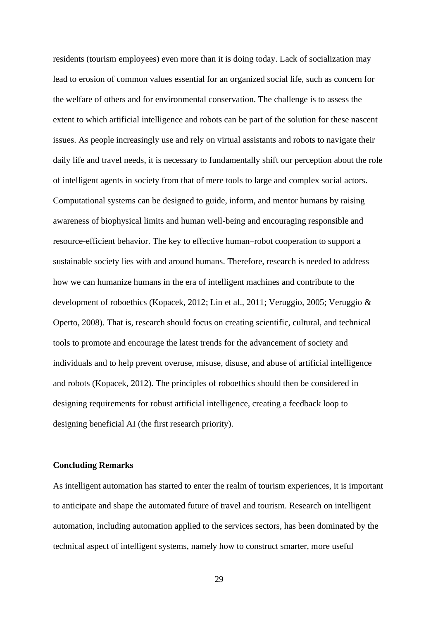residents (tourism employees) even more than it is doing today. Lack of socialization may lead to erosion of common values essential for an organized social life, such as concern for the welfare of others and for environmental conservation. The challenge is to assess the extent to which artificial intelligence and robots can be part of the solution for these nascent issues. As people increasingly use and rely on virtual assistants and robots to navigate their daily life and travel needs, it is necessary to fundamentally shift our perception about the role of intelligent agents in society from that of mere tools to large and complex social actors. Computational systems can be designed to guide, inform, and mentor humans by raising awareness of biophysical limits and human well-being and encouraging responsible and resource-efficient behavior. The key to effective human–robot cooperation to support a sustainable society lies with and around humans. Therefore, research is needed to address how we can humanize humans in the era of intelligent machines and contribute to the development of roboethics (Kopacek, 2012; Lin et al., 2011; Veruggio, 2005; Veruggio & Operto, 2008). That is, research should focus on creating scientific, cultural, and technical tools to promote and encourage the latest trends for the advancement of society and individuals and to help prevent overuse, misuse, disuse, and abuse of artificial intelligence and robots (Kopacek, 2012). The principles of roboethics should then be considered in designing requirements for robust artificial intelligence, creating a feedback loop to designing beneficial AI (the first research priority).

### **Concluding Remarks**

As intelligent automation has started to enter the realm of tourism experiences, it is important to anticipate and shape the automated future of travel and tourism. Research on intelligent automation, including automation applied to the services sectors, has been dominated by the technical aspect of intelligent systems, namely how to construct smarter, more useful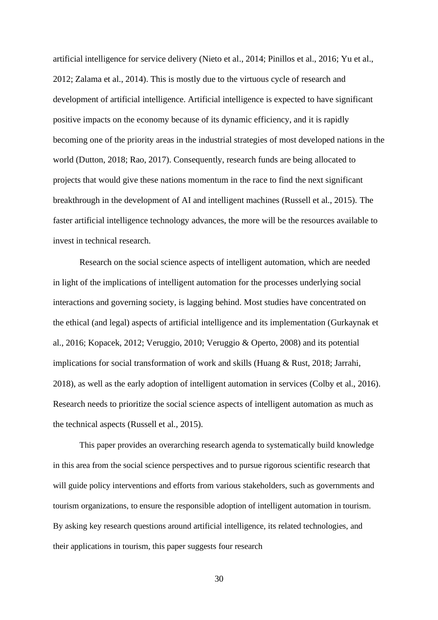artificial intelligence for service delivery (Nieto et al., 2014; Pinillos et al., 2016; Yu et al., 2012; Zalama et al., 2014). This is mostly due to the virtuous cycle of research and development of artificial intelligence. Artificial intelligence is expected to have significant positive impacts on the economy because of its dynamic efficiency, and it is rapidly becoming one of the priority areas in the industrial strategies of most developed nations in the world (Dutton, 2018; Rao, 2017). Consequently, research funds are being allocated to projects that would give these nations momentum in the race to find the next significant breakthrough in the development of AI and intelligent machines (Russell et al., 2015). The faster artificial intelligence technology advances, the more will be the resources available to invest in technical research.

Research on the social science aspects of intelligent automation, which are needed in light of the implications of intelligent automation for the processes underlying social interactions and governing society, is lagging behind. Most studies have concentrated on the ethical (and legal) aspects of artificial intelligence and its implementation (Gurkaynak et al., 2016; Kopacek, 2012; Veruggio, 2010; Veruggio & Operto, 2008) and its potential implications for social transformation of work and skills (Huang & Rust, 2018; Jarrahi, 2018), as well as the early adoption of intelligent automation in services (Colby et al., 2016). Research needs to prioritize the social science aspects of intelligent automation as much as the technical aspects (Russell et al., 2015).

This paper provides an overarching research agenda to systematically build knowledge in this area from the social science perspectives and to pursue rigorous scientific research that will guide policy interventions and efforts from various stakeholders, such as governments and tourism organizations, to ensure the responsible adoption of intelligent automation in tourism. By asking key research questions around artificial intelligence, its related technologies, and their applications in tourism, this paper suggests four research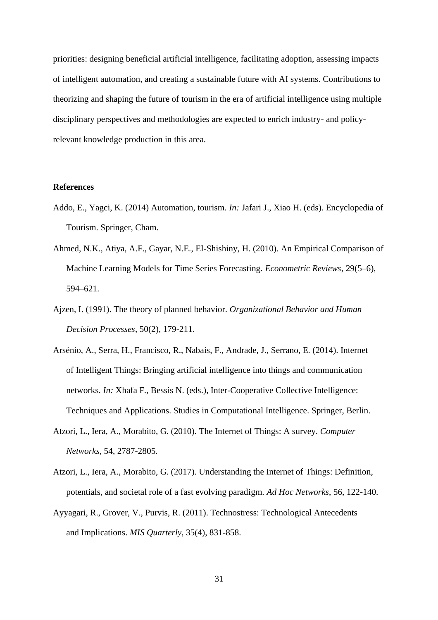priorities: designing beneficial artificial intelligence, facilitating adoption, assessing impacts of intelligent automation, and creating a sustainable future with AI systems. Contributions to theorizing and shaping the future of tourism in the era of artificial intelligence using multiple disciplinary perspectives and methodologies are expected to enrich industry- and policyrelevant knowledge production in this area.

### **References**

- Addo, E., Yagci, K. (2014) Automation, tourism. *In:* Jafari J., Xiao H. (eds). Encyclopedia of Tourism. Springer, Cham.
- Ahmed, N.K., Atiya, A.F., Gayar, N.E., El-Shishiny, H. (2010). An Empirical Comparison of Machine Learning Models for Time Series Forecasting. *Econometric Reviews*, 29(5–6), 594–621.
- Ajzen, I. (1991). The theory of planned behavior. *Organizational Behavior and Human Decision Processes*, 50(2), 179-211.
- Arsénio, A., Serra, H., Francisco, R., Nabais, F., Andrade, J., Serrano, E. (2014). Internet of Intelligent Things: Bringing artificial intelligence into things and communication networks. *In:* Xhafa F., Bessis N. (eds.), Inter-Cooperative Collective Intelligence: Techniques and Applications. Studies in Computational Intelligence. Springer, Berlin.
- Atzori, L., Iera, A., Morabito, G. (2010). The Internet of Things: A survey. *Computer Networks*, 54, 2787-2805.
- Atzori, L., Iera, A., Morabito, G. (2017). Understanding the Internet of Things: Definition, potentials, and societal role of a fast evolving paradigm. *Ad Hoc Networks*, 56, 122-140.
- Ayyagari, R., Grover, V., Purvis, R. (2011). Technostress: Technological Antecedents and Implications. *MIS Quarterly*, 35(4), 831-858.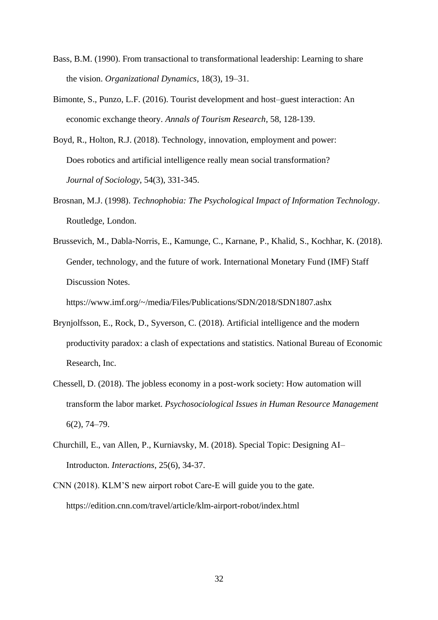- Bass, B.M. (1990). From transactional to transformational leadership: Learning to share the vision. *Organizational Dynamics*, 18(3), 19–31.
- Bimonte, S., Punzo, L.F. (2016). Tourist development and host–guest interaction: An economic exchange theory. *Annals of Tourism Research*, 58, 128-139.
- Boyd, R., Holton, R.J. (2018). Technology, innovation, employment and power: Does robotics and artificial intelligence really mean social transformation? *Journal of Sociology*, 54(3), 331-345.
- Brosnan, M.J. (1998). *Technophobia: The Psychological Impact of Information Technology*. Routledge, London.
- Brussevich, M., Dabla-Norris, E., Kamunge, C., Karnane, P., Khalid, S., Kochhar, K. (2018). Gender, technology, and the future of work. International Monetary Fund (IMF) Staff Discussion Notes.

https://www.imf.org/~/media/Files/Publications/SDN/2018/SDN1807.ashx

- Brynjolfsson, E., Rock, D., Syverson, C. (2018). Artificial intelligence and the modern productivity paradox: a clash of expectations and statistics. National Bureau of Economic Research, Inc.
- Chessell, D. (2018). The jobless economy in a post-work society: How automation will transform the labor market. *Psychosociological Issues in Human Resource Management* 6(2), 74–79.
- Churchill, E., van Allen, P., Kurniavsky, M. (2018). Special Topic: Designing AI– Introducton. *Interactions*, 25(6), 34-37.
- CNN (2018). KLM'S new airport robot Care-E will guide you to the gate. https://edition.cnn.com/travel/article/klm-airport-robot/index.html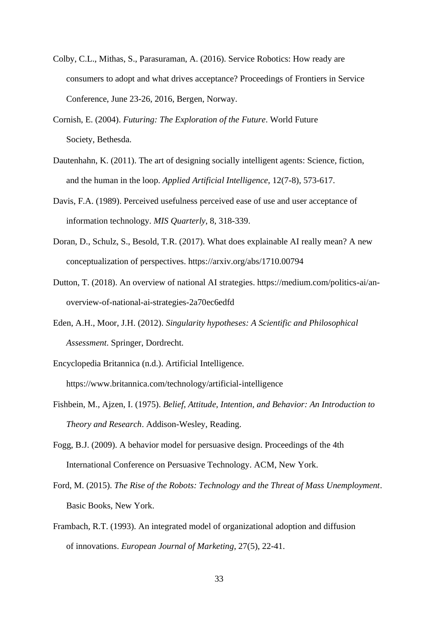- Colby, C.L., Mithas, S., Parasuraman, A. (2016). Service Robotics: How ready are consumers to adopt and what drives acceptance? Proceedings of Frontiers in Service Conference, June 23-26, 2016, Bergen, Norway.
- Cornish, E. (2004). *Futuring: The Exploration of the Future*. World Future Society, Bethesda.
- Dautenhahn, K. (2011). The art of designing socially intelligent agents: Science, fiction, and the human in the loop. *Applied Artificial Intelligence*, 12(7-8), 573-617.
- Davis, F.A. (1989). Perceived usefulness perceived ease of use and user acceptance of information technology. *MIS Quarterly*, 8, 318-339.
- Doran, D., Schulz, S., Besold, T.R. (2017). What does explainable AI really mean? A new conceptualization of perspectives. https://arxiv.org/abs/1710.00794
- Dutton, T. (2018). An overview of national AI strategies. https://medium.com/politics-ai/anoverview-of-national-ai-strategies-2a70ec6edfd
- Eden, A.H., Moor, J.H. (2012). *Singularity hypotheses: A Scientific and Philosophical Assessment*. Springer, Dordrecht.
- Encyclopedia Britannica (n.d.). Artificial Intelligence. https://www.britannica.com/technology/artificial-intelligence
- Fishbein, M., Ajzen, I. (1975). *Belief, Attitude, Intention, and Behavior: An Introduction to Theory and Research*. Addison-Wesley, Reading.
- Fogg, B.J. (2009). A behavior model for persuasive design. Proceedings of the 4th International Conference on Persuasive Technology. ACM, New York.
- Ford, M. (2015). *The Rise of the Robots: Technology and the Threat of Mass Unemployment*. Basic Books, New York.
- Frambach, R.T. (1993). An integrated model of organizational adoption and diffusion of innovations. *European Journal of Marketing*, 27(5), 22-41.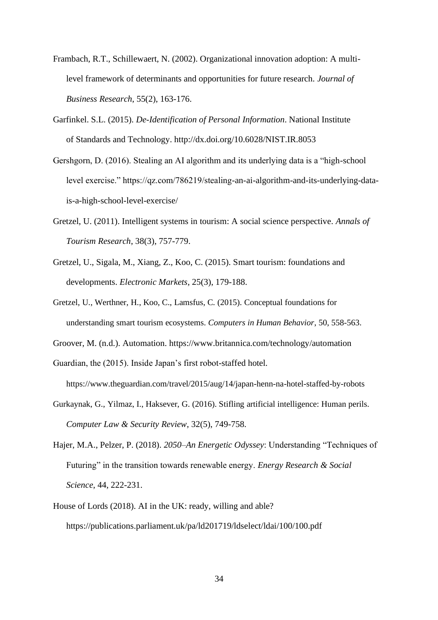- Frambach, R.T., Schillewaert, N. (2002). Organizational innovation adoption: A multilevel framework of determinants and opportunities for future research. *Journal of Business Research*, 55(2), 163-176.
- Garfinkel. S.L. (2015). *De-Identification of Personal Information*. National Institute of Standards and Technology. http://dx.doi.org/10.6028/NIST.IR.8053
- Gershgorn, D. (2016). Stealing an AI algorithm and its underlying data is a "high-school level exercise." https://qz.com/786219/stealing-an-ai-algorithm-and-its-underlying-datais-a-high-school-level-exercise/
- Gretzel, U. (2011). Intelligent systems in tourism: A social science perspective. *Annals of Tourism Research*, 38(3), 757-779.
- Gretzel, U., Sigala, M., Xiang, Z., Koo, C. (2015). Smart tourism: foundations and developments. *Electronic Markets*, 25(3), 179-188.
- Gretzel, U., Werthner, H., Koo, C., Lamsfus, C. (2015). Conceptual foundations for understanding smart tourism ecosystems. *Computers in Human Behavior*, 50, 558-563.
- Groover, M. (n.d.). Automation. https://www.britannica.com/technology/automation
- Guardian, the (2015). Inside Japan's first robot-staffed hotel. https://www.theguardian.com/travel/2015/aug/14/japan-henn-na-hotel-staffed-by-robots
- Gurkaynak, G., Yilmaz, I., Haksever, G. (2016). Stifling artificial intelligence: Human perils. *Computer Law & Security Review*, 32(5), 749-758.
- Hajer, M.A., Pelzer, P. (2018). *2050–An Energetic Odyssey*: Understanding "Techniques of Futuring" in the transition towards renewable energy. *Energy Research & Social Science*, 44, 222-231.
- House of Lords (2018). AI in the UK: ready, willing and able? https://publications.parliament.uk/pa/ld201719/ldselect/ldai/100/100.pdf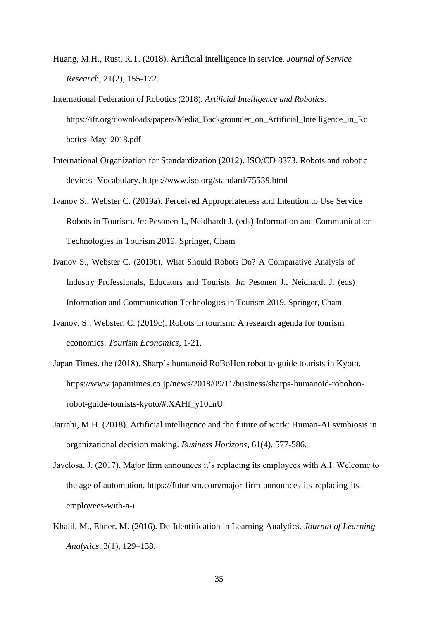- Huang, M.H., Rust, R.T. (2018). Artificial intelligence in service. *Journal of Service Research*, 21(2), 155-172.
- International Federation of Robotics (2018). *Artificial Intelligence and Robotics*. https://ifr.org/downloads/papers/Media\_Backgrounder\_on\_Artificial\_Intelligence\_in\_Ro botics\_May\_2018.pdf
- International Organization for Standardization (2012). ISO/CD 8373. Robots and robotic devices–Vocabulary. https://www.iso.org/standard/75539.html
- Ivanov S., Webster C. (2019a). Perceived Appropriateness and Intention to Use Service Robots in Tourism. *In*: Pesonen J., Neidhardt J. (eds) Information and Communication Technologies in Tourism 2019. Springer, Cham
- Ivanov S., Webster C. (2019b). What Should Robots Do? A Comparative Analysis of Industry Professionals, Educators and Tourists. *In*: Pesonen J., Neidhardt J. (eds) Information and Communication Technologies in Tourism 2019. Springer, Cham
- Ivanov, S., Webster, C. (2019c). Robots in tourism: A research agenda for tourism economics. *Tourism Economics*, 1-21.
- Japan Times, the (2018). Sharp's humanoid RoBoHon robot to guide tourists in Kyoto. https://www.japantimes.co.jp/news/2018/09/11/business/sharps-humanoid-robohonrobot-guide-tourists-kyoto/#.XAHf\_y10cnU
- Jarrahi, M.H. (2018). Artificial intelligence and the future of work: Human-AI symbiosis in organizational decision making. *Business Horizons*, 61(4), 577-586.
- Javelosa, J. (2017). Major firm announces it's replacing its employees with A.I. Welcome to the age of automation. https://futurism.com/major-firm-announces-its-replacing-itsemployees-with-a-i
- Khalil, M., Ebner, M. (2016). De-Identification in Learning Analytics. *Journal of Learning Analytics*, 3(1), 129–138.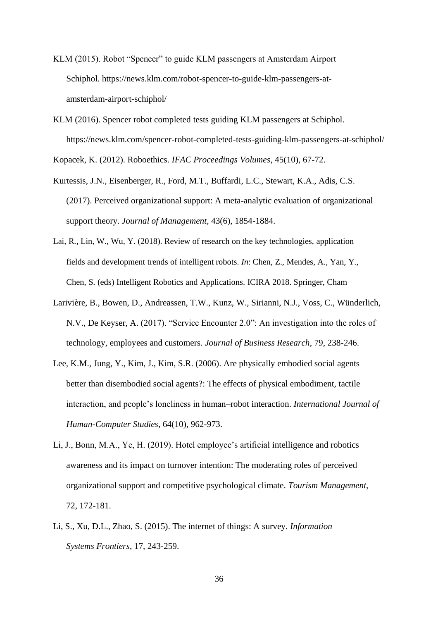- KLM (2015). Robot "Spencer" to guide KLM passengers at Amsterdam Airport Schiphol. https://news.klm.com/robot-spencer-to-guide-klm-passengers-atamsterdam-airport-schiphol/
- KLM (2016). Spencer robot completed tests guiding KLM passengers at Schiphol. https://news.klm.com/spencer-robot-completed-tests-guiding-klm-passengers-at-schiphol/

Kopacek, K. (2012). Roboethics. *IFAC Proceedings Volumes*, 45(10), 67-72.

- Kurtessis, J.N., Eisenberger, R., Ford, M.T., Buffardi, L.C., Stewart, K.A., Adis, C.S. (2017). Perceived organizational support: A meta-analytic evaluation of organizational support theory. *Journal of Management*, 43(6), 1854-1884.
- Lai, R., Lin, W., Wu, Y. (2018). Review of research on the key technologies, application fields and development trends of intelligent robots. *In*: Chen, Z., Mendes, A., Yan, Y., Chen, S. (eds) Intelligent Robotics and Applications. ICIRA 2018. Springer, Cham
- Larivière, B., Bowen, D., Andreassen, T.W., Kunz, W., Sirianni, N.J., Voss, C., Wünderlich, N.V., De Keyser, A. (2017). "Service Encounter 2.0": An investigation into the roles of technology, employees and customers. *Journal of Business Research*, 79, 238-246.
- Lee, K.M., Jung, Y., Kim, J., Kim, S.R. (2006). Are physically embodied social agents better than disembodied social agents?: The effects of physical embodiment, tactile interaction, and people's loneliness in human–robot interaction. *International Journal of Human-Computer Studies*, 64(10), 962-973.
- Li, J., Bonn, M.A., Ye, H. (2019). Hotel employee's artificial intelligence and robotics awareness and its impact on turnover intention: The moderating roles of perceived organizational support and competitive psychological climate. *Tourism Management*, 72, 172-181.
- Li, S., Xu, D.L., Zhao, S. (2015). The internet of things: A survey. *Information Systems Frontiers*, 17, 243-259.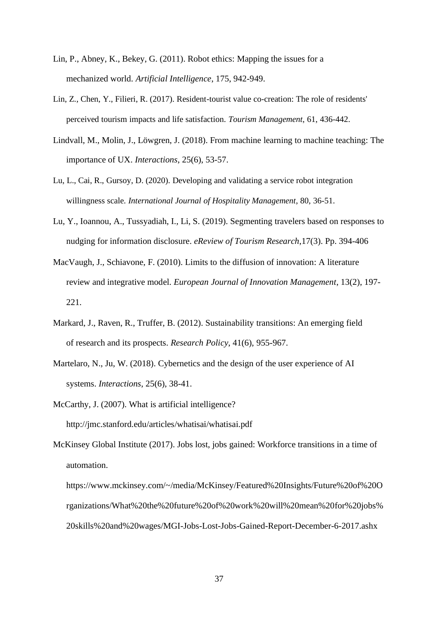- Lin, P., Abney, K., Bekey, G. (2011). Robot ethics: Mapping the issues for a mechanized world. *Artificial Intelligence*, 175, 942-949.
- Lin, Z., Chen, Y., Filieri, R. (2017). Resident-tourist value co-creation: The role of residents' perceived tourism impacts and life satisfaction. *Tourism Management*, 61, 436-442.
- Lindvall, M., Molin, J., Löwgren, J. (2018). From machine learning to machine teaching: The importance of UX. *Interactions*, 25(6), 53-57.
- Lu, L., Cai, R., Gursoy, D. (2020). Developing and validating a service robot integration willingness scale. *International Journal of Hospitality Management*, 80, 36-51.
- Lu, Y., Ioannou, A., Tussyadiah, I., Li, S. (2019). Segmenting travelers based on responses to nudging for information disclosure. *eReview of Tourism Research*,17(3). Pp. 394-406
- MacVaugh, J., Schiavone, F. (2010). Limits to the diffusion of innovation: A literature review and integrative model. *European Journal of Innovation Management*, 13(2), 197- 221.
- Markard, J., Raven, R., Truffer, B. (2012). Sustainability transitions: An emerging field of research and its prospects. *Research Policy*, 41(6), 955-967.
- Martelaro, N., Ju, W. (2018). Cybernetics and the design of the user experience of AI systems. *Interactions*, 25(6), 38-41.
- McCarthy, J. (2007). What is artificial intelligence? http://jmc.stanford.edu/articles/whatisai/whatisai.pdf
- McKinsey Global Institute (2017). Jobs lost, jobs gained: Workforce transitions in a time of automation.

https://www.mckinsey.com/~/media/McKinsey/Featured%20Insights/Future%20of%20O rganizations/What%20the%20future%20of%20work%20will%20mean%20for%20jobs% 20skills%20and%20wages/MGI-Jobs-Lost-Jobs-Gained-Report-December-6-2017.ashx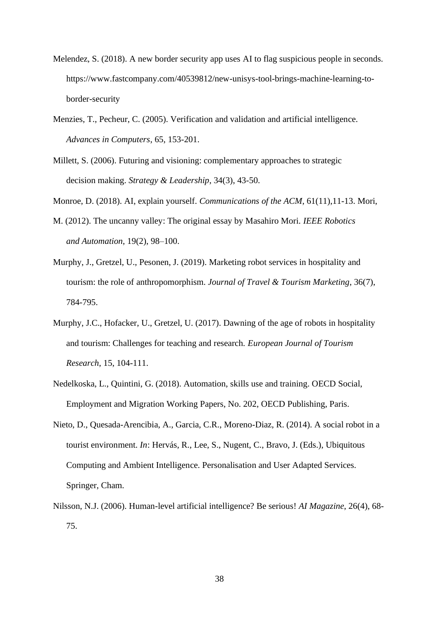- Melendez, S. (2018). A new border security app uses AI to flag suspicious people in seconds. https://www.fastcompany.com/40539812/new-unisys-tool-brings-machine-learning-toborder-security
- Menzies, T., Pecheur, C. (2005). Verification and validation and artificial intelligence. *Advances in Computers*, 65, 153-201.
- Millett, S. (2006). Futuring and visioning: complementary approaches to strategic decision making. *Strategy & Leadership*, 34(3), 43-50.
- Monroe, D. (2018). AI, explain yourself. *Communications of the ACM*, 61(11),11-13. Mori,
- M. (2012). The uncanny valley: The original essay by Masahiro Mori. *IEEE Robotics and Automation*, 19(2), 98–100.
- Murphy, J., Gretzel, U., Pesonen, J. (2019). Marketing robot services in hospitality and tourism: the role of anthropomorphism. *Journal of Travel & Tourism Marketing*, 36(7), 784-795.
- Murphy, J.C., Hofacker, U., Gretzel, U. (2017). Dawning of the age of robots in hospitality and tourism: Challenges for teaching and research. *European Journal of Tourism Research*, 15, 104-111.
- Nedelkoska, L., Quintini, G. (2018). Automation, skills use and training. OECD Social, Employment and Migration Working Papers, No. 202, OECD Publishing, Paris.
- Nieto, D., Quesada-Arencibia, A., Garcia, C.R., Moreno-Diaz, R. (2014). A social robot in a tourist environment. *In*: Hervás, R., Lee, S., Nugent, C., Bravo, J. (Eds.), Ubiquitous Computing and Ambient Intelligence. Personalisation and User Adapted Services. Springer, Cham.
- Nilsson, N.J. (2006). Human-level artificial intelligence? Be serious! *AI Magazine*, 26(4), 68- 75.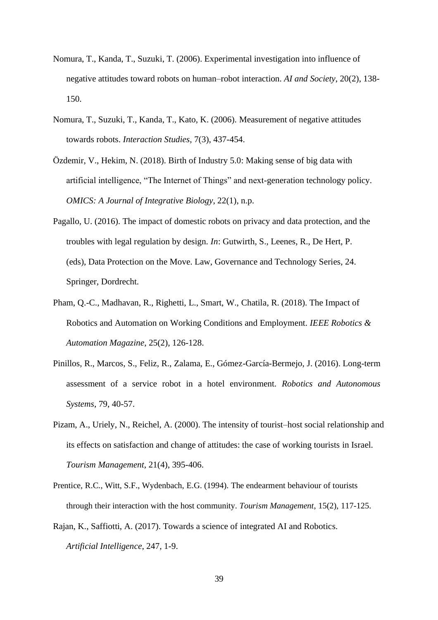- Nomura, T., Kanda, T., Suzuki, T. (2006). Experimental investigation into influence of negative attitudes toward robots on human–robot interaction. *AI and Society*, 20(2), 138- 150.
- Nomura, T., Suzuki, T., Kanda, T., Kato, K. (2006). Measurement of negative attitudes towards robots. *Interaction Studies*, 7(3), 437-454.
- Özdemir, V., Hekim, N. (2018). Birth of Industry 5.0: Making sense of big data with artificial intelligence, "The Internet of Things" and next-generation technology policy. *OMICS: A Journal of Integrative Biology*, 22(1), n.p.
- Pagallo, U. (2016). The impact of domestic robots on privacy and data protection, and the troubles with legal regulation by design. *In*: Gutwirth, S., Leenes, R., De Hert, P. (eds), Data Protection on the Move. Law, Governance and Technology Series, 24. Springer, Dordrecht.
- Pham, Q.-C., Madhavan, R., Righetti, L., Smart, W., Chatila, R. (2018). The Impact of Robotics and Automation on Working Conditions and Employment. *IEEE Robotics & Automation Magazine*, 25(2), 126-128.
- Pinillos, R., Marcos, S., Feliz, R., Zalama, E., Gómez-García-Bermejo, J. (2016). Long-term assessment of a service robot in a hotel environment. *Robotics and Autonomous Systems*, 79, 40-57.
- Pizam, A., Uriely, N., Reichel, A. (2000). The intensity of tourist–host social relationship and its effects on satisfaction and change of attitudes: the case of working tourists in Israel. *Tourism Management*, 21(4), 395-406.
- Prentice, R.C., Witt, S.F., Wydenbach, E.G. (1994). The endearment behaviour of tourists through their interaction with the host community. *Tourism Management*, 15(2), 117-125.
- Rajan, K., Saffiotti, A. (2017). Towards a science of integrated AI and Robotics. *Artificial Intelligence*, 247, 1-9.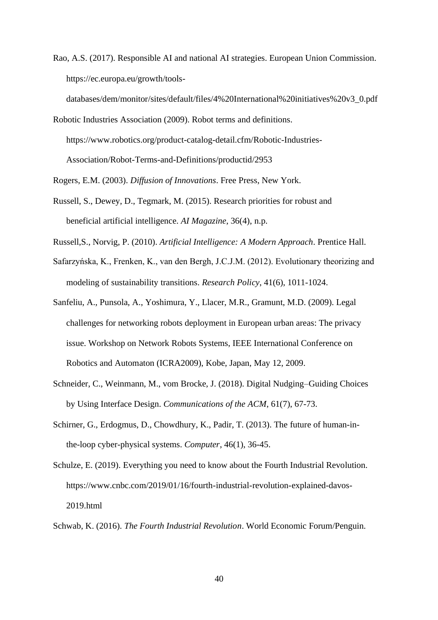Rao, A.S. (2017). Responsible AI and national AI strategies. European Union Commission. https://ec.europa.eu/growth/tools-

databases/dem/monitor/sites/default/files/4%20International%20initiatives%20v3\_0.pdf

Robotic Industries Association (2009). Robot terms and definitions. https://www.robotics.org/product-catalog-detail.cfm/Robotic-Industries-Association/Robot-Terms-and-Definitions/productid/2953

Rogers, E.M. (2003). *Diffusion of Innovations*. Free Press, New York.

Russell, S., Dewey, D., Tegmark, M. (2015). Research priorities for robust and beneficial artificial intelligence. *AI Magazine*, 36(4), n.p.

Russell,S., Norvig, P. (2010). *Artificial Intelligence: A Modern Approach*. Prentice Hall.

- Safarzyńska, K., Frenken, K., van den Bergh, J.C.J.M. (2012). Evolutionary theorizing and modeling of sustainability transitions. *Research Policy*, 41(6), 1011-1024.
- Sanfeliu, A., Punsola, A., Yoshimura, Y., Llacer, M.R., Gramunt, M.D. (2009). Legal challenges for networking robots deployment in European urban areas: The privacy issue. Workshop on Network Robots Systems, IEEE International Conference on Robotics and Automaton (ICRA2009), Kobe, Japan, May 12, 2009.
- Schneider, C., Weinmann, M., vom Brocke, J. (2018). Digital Nudging–Guiding Choices by Using Interface Design. *Communications of the ACM*, 61(7), 67-73.
- Schirner, G., Erdogmus, D., Chowdhury, K., Padir, T. (2013). The future of human-inthe-loop cyber-physical systems. *Computer*, 46(1), 36-45.
- Schulze, E. (2019). Everything you need to know about the Fourth Industrial Revolution. https://www.cnbc.com/2019/01/16/fourth-industrial-revolution-explained-davos-2019.html

Schwab, K. (2016). *The Fourth Industrial Revolution*. World Economic Forum/Penguin.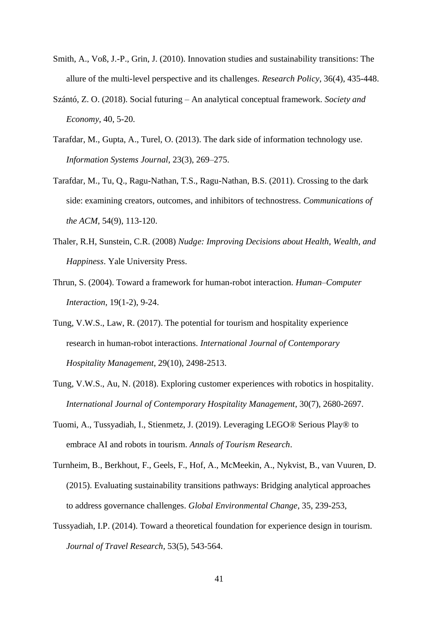- Smith, A., Voß, J.-P., Grin, J. (2010). Innovation studies and sustainability transitions: The allure of the multi-level perspective and its challenges. *Research Policy*, 36(4), 435-448.
- Szántó, Z. O. (2018). Social futuring An analytical conceptual framework. *Society and Economy*, 40, 5-20.
- Tarafdar, M., Gupta, A., Turel, O. (2013). The dark side of information technology use. *Information Systems Journal*, 23(3), 269–275.
- Tarafdar, M., Tu, Q., Ragu-Nathan, T.S., Ragu-Nathan, B.S. (2011). Crossing to the dark side: examining creators, outcomes, and inhibitors of technostress. *Communications of the ACM*, 54(9), 113-120.
- Thaler, R.H, Sunstein, C.R. (2008) *Nudge: Improving Decisions about Health, Wealth, and Happiness*. Yale University Press.
- Thrun, S. (2004). Toward a framework for human-robot interaction. *Human–Computer Interaction*, 19(1-2), 9-24.
- Tung, V.W.S., Law, R. (2017). The potential for tourism and hospitality experience research in human-robot interactions. *International Journal of Contemporary Hospitality Management*, 29(10), 2498-2513.
- Tung, V.W.S., Au, N. (2018). Exploring customer experiences with robotics in hospitality. *International Journal of Contemporary Hospitality Management*, 30(7), 2680-2697.
- Tuomi, A., Tussyadiah, I., Stienmetz, J. (2019). Leveraging LEGO® Serious Play® to embrace AI and robots in tourism. *Annals of Tourism Research*.
- Turnheim, B., Berkhout, F., Geels, F., Hof, A., McMeekin, A., Nykvist, B., van Vuuren, D. (2015). Evaluating sustainability transitions pathways: Bridging analytical approaches to address governance challenges. *Global Environmental Change*, 35, 239-253,
- Tussyadiah, I.P. (2014). Toward a theoretical foundation for experience design in tourism. *Journal of Travel Research*, 53(5), 543-564.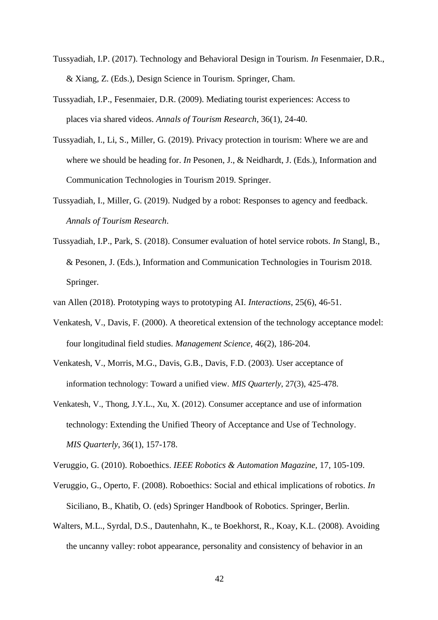- Tussyadiah, I.P. (2017). Technology and Behavioral Design in Tourism. *In* Fesenmaier, D.R., & Xiang, Z. (Eds.), Design Science in Tourism. Springer, Cham.
- Tussyadiah, I.P., Fesenmaier, D.R. (2009). Mediating tourist experiences: Access to places via shared videos. *Annals of Tourism Research*, 36(1), 24-40.
- Tussyadiah, I., Li, S., Miller, G. (2019). Privacy protection in tourism: Where we are and where we should be heading for. *In* Pesonen, J., & Neidhardt, J. (Eds.), Information and Communication Technologies in Tourism 2019. Springer.
- Tussyadiah, I., Miller, G. (2019). Nudged by a robot: Responses to agency and feedback. *Annals of Tourism Research*.
- Tussyadiah, I.P., Park, S. (2018). Consumer evaluation of hotel service robots. *In* Stangl, B., & Pesonen, J. (Eds.), Information and Communication Technologies in Tourism 2018. Springer.
- van Allen (2018). Prototyping ways to prototyping AI. *Interactions*, 25(6), 46-51.
- Venkatesh, V., Davis, F. (2000). A theoretical extension of the technology acceptance model: four longitudinal field studies. *Management Science*, 46(2), 186-204.
- Venkatesh, V., Morris, M.G., Davis, G.B., Davis, F.D. (2003). User acceptance of information technology: Toward a unified view. *MIS Quarterly*, 27(3), 425-478.
- Venkatesh, V., Thong, J.Y.L., Xu, X. (2012). Consumer acceptance and use of information technology: Extending the Unified Theory of Acceptance and Use of Technology. *MIS Quarterly*, 36(1), 157-178.
- Veruggio, G. (2010). Roboethics. *IEEE Robotics & Automation Magazine,* 17, 105-109.
- Veruggio, G., Operto, F. (2008). Roboethics: Social and ethical implications of robotics. *In* Siciliano, B., Khatib, O. (eds) Springer Handbook of Robotics. Springer, Berlin.
- Walters, M.L., Syrdal, D.S., Dautenhahn, K., te Boekhorst, R., Koay, K.L. (2008). Avoiding the uncanny valley: robot appearance, personality and consistency of behavior in an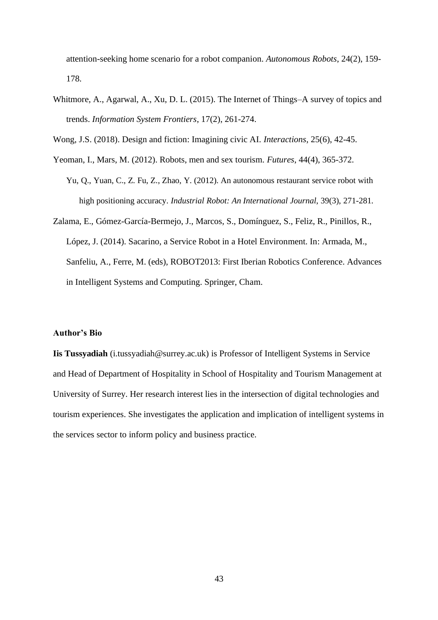attention-seeking home scenario for a robot companion. *Autonomous Robots*, 24(2), 159- 178.

- Whitmore, A., Agarwal, A., Xu, D. L. (2015). The Internet of Things–A survey of topics and trends. *Information System Frontiers*, 17(2), 261-274.
- Wong, J.S. (2018). Design and fiction: Imagining civic AI. *Interactions*, 25(6), 42-45.
- Yeoman, I., Mars, M. (2012). Robots, men and sex tourism. *Futures*, 44(4), 365-372. Yu, Q., Yuan, C., Z. Fu, Z., Zhao, Y. (2012). An autonomous restaurant service robot with
	- high positioning accuracy. *Industrial Robot: An International Journal*, 39(3), 271-281.
- Zalama, E., Gómez-García-Bermejo, J., Marcos, S., Domínguez, S., Feliz, R., Pinillos, R., López, J. (2014). Sacarino, a Service Robot in a Hotel Environment. In: Armada, M., Sanfeliu, A., Ferre, M. (eds), ROBOT2013: First Iberian Robotics Conference. Advances in Intelligent Systems and Computing. Springer, Cham.

### **Author's Bio**

**Iis Tussyadiah** (i.tussyadiah@surrey.ac.uk) is Professor of Intelligent Systems in Service and Head of Department of Hospitality in School of Hospitality and Tourism Management at University of Surrey. Her research interest lies in the intersection of digital technologies and tourism experiences. She investigates the application and implication of intelligent systems in the services sector to inform policy and business practice.